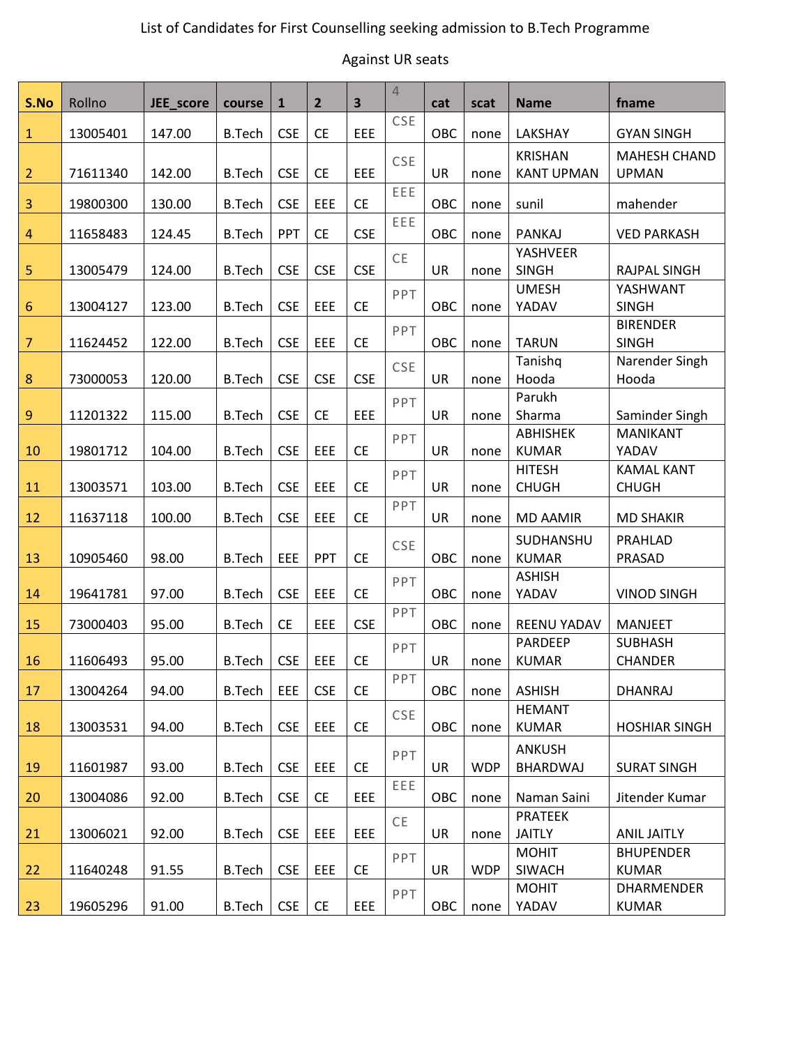#### Against UR seats

| S.No             | Rollno   | JEE_score | course        | $\mathbf{1}$ | $\overline{2}$ | $\overline{\mathbf{3}}$ | $\overline{4}$ | cat       | scat       | <b>Name</b>                         | fname                               |
|------------------|----------|-----------|---------------|--------------|----------------|-------------------------|----------------|-----------|------------|-------------------------------------|-------------------------------------|
| $\mathbf{1}$     | 13005401 | 147.00    | <b>B.Tech</b> | <b>CSE</b>   | <b>CE</b>      | EEE                     | <b>CSE</b>     | OBC       | none       | LAKSHAY                             | <b>GYAN SINGH</b>                   |
| $\overline{2}$   | 71611340 | 142.00    | <b>B.Tech</b> | <b>CSE</b>   | <b>CE</b>      | EEE                     | <b>CSE</b>     | UR        | none       | <b>KRISHAN</b><br><b>KANT UPMAN</b> | <b>MAHESH CHAND</b><br><b>UPMAN</b> |
| 3                | 19800300 | 130.00    | <b>B.Tech</b> | <b>CSE</b>   | EEE            | <b>CE</b>               | EEE            | OBC       | none       | sunil                               | mahender                            |
| $\overline{4}$   | 11658483 | 124.45    | <b>B.Tech</b> | PPT          | <b>CE</b>      | <b>CSE</b>              | EEE            | OBC       | none       | PANKAJ                              | <b>VED PARKASH</b>                  |
| 5                | 13005479 | 124.00    | <b>B.Tech</b> | <b>CSE</b>   | <b>CSE</b>     | <b>CSE</b>              | CE             | UR        | none       | YASHVEER<br><b>SINGH</b>            | <b>RAJPAL SINGH</b>                 |
| $6\phantom{1}6$  | 13004127 | 123.00    | <b>B.Tech</b> | <b>CSE</b>   | EEE            | <b>CE</b>               | PPT            | OBC       | none       | <b>UMESH</b><br>YADAV               | YASHWANT<br><b>SINGH</b>            |
| $\overline{7}$   | 11624452 | 122.00    | <b>B.Tech</b> | <b>CSE</b>   | EEE            | <b>CE</b>               | PPT            | OBC       | none       | <b>TARUN</b>                        | <b>BIRENDER</b><br><b>SINGH</b>     |
| 8                | 73000053 | 120.00    | <b>B.Tech</b> | <b>CSE</b>   | <b>CSE</b>     | <b>CSE</b>              | CSE            | UR        | none       | Tanishq<br>Hooda                    | Narender Singh<br>Hooda             |
| $\boldsymbol{9}$ | 11201322 | 115.00    | <b>B.Tech</b> | <b>CSE</b>   | <b>CE</b>      | EEE                     | PPT            | UR        | none       | Parukh<br>Sharma                    | Saminder Singh                      |
| 10               | 19801712 | 104.00    | <b>B.Tech</b> | <b>CSE</b>   | EEE            | <b>CE</b>               | PPT            | UR        | none       | <b>ABHISHEK</b><br><b>KUMAR</b>     | <b>MANIKANT</b><br>YADAV            |
| 11               | 13003571 | 103.00    | <b>B.Tech</b> | <b>CSE</b>   | EEE            | <b>CE</b>               | PPT            | UR        | none       | <b>HITESH</b><br><b>CHUGH</b>       | <b>KAMAL KANT</b><br><b>CHUGH</b>   |
| 12               | 11637118 | 100.00    | <b>B.Tech</b> | <b>CSE</b>   | EEE            | <b>CE</b>               | PPT            | UR        | none       | <b>MD AAMIR</b>                     | <b>MD SHAKIR</b>                    |
| 13               | 10905460 | 98.00     | <b>B.Tech</b> | EEE          | PPT            | <b>CE</b>               | <b>CSE</b>     | OBC       | none       | SUDHANSHU<br><b>KUMAR</b>           | PRAHLAD<br>PRASAD                   |
| 14               | 19641781 | 97.00     | <b>B.Tech</b> | <b>CSE</b>   | EEE            | <b>CE</b>               | PPT            | OBC       | none       | <b>ASHISH</b><br>YADAV              | <b>VINOD SINGH</b>                  |
| 15               | 73000403 | 95.00     | <b>B.Tech</b> | <b>CE</b>    | EEE            | <b>CSE</b>              | PPT            | OBC       | none       | <b>REENU YADAV</b>                  | <b>MANJEET</b>                      |
| 16               | 11606493 | 95.00     | <b>B.Tech</b> | <b>CSE</b>   | EEE            | <b>CE</b>               | PPT            | UR        | none       | PARDEEP<br><b>KUMAR</b>             | <b>SUBHASH</b><br><b>CHANDER</b>    |
| 17               | 13004264 | 94.00     | <b>B.Tech</b> | EEE          | <b>CSE</b>     | <b>CE</b>               | PPT            | OBC       | none       | <b>ASHISH</b>                       | <b>DHANRAJ</b>                      |
| 18               | 13003531 | 94.00     | <b>B.Tech</b> | <b>CSE</b>   | EEE            | <b>CE</b>               | CSE            | OBC       | none       | <b>HEMANT</b><br><b>KUMAR</b>       | <b>HOSHIAR SINGH</b>                |
| 19               | 11601987 | 93.00     | <b>B.Tech</b> | <b>CSE</b>   | EEE            | <b>CE</b>               | PPT            | <b>UR</b> | <b>WDP</b> | <b>ANKUSH</b><br>BHARDWAJ           | <b>SURAT SINGH</b>                  |
| 20               | 13004086 | 92.00     | <b>B.Tech</b> | <b>CSE</b>   | <b>CE</b>      | <b>EEE</b>              | EEE            | OBC       | none       | Naman Saini                         | Jitender Kumar                      |
| 21               | 13006021 | 92.00     | <b>B.Tech</b> | <b>CSE</b>   | EEE            | EEE                     | <b>CE</b>      | UR        | none       | <b>PRATEEK</b><br><b>JAITLY</b>     | <b>ANIL JAITLY</b>                  |
| 22               | 11640248 | 91.55     | <b>B.Tech</b> | <b>CSE</b>   | EEE            | <b>CE</b>               | PPT            | UR        | <b>WDP</b> | <b>MOHIT</b><br>SIWACH              | <b>BHUPENDER</b><br><b>KUMAR</b>    |
| 23               | 19605296 | 91.00     | <b>B.Tech</b> | <b>CSE</b>   | <b>CE</b>      | EEE                     | <b>PPT</b>     | OBC       | none       | <b>MOHIT</b><br>YADAV               | <b>DHARMENDER</b><br><b>KUMAR</b>   |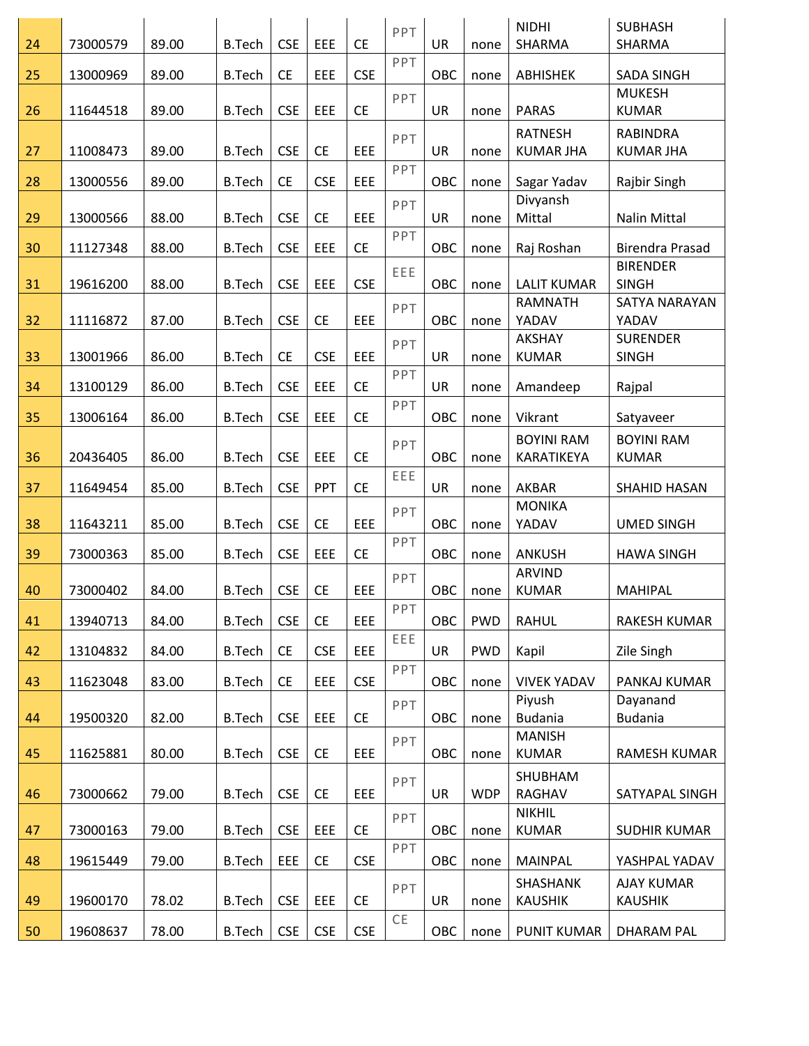| 24 | 73000579 | 89.00 | <b>B.Tech</b> | <b>CSE</b> | EEE        | <b>CE</b>  | PPT | <b>UR</b> | none       | <b>NIDHI</b><br>SHARMA          | <b>SUBHASH</b><br>SHARMA            |
|----|----------|-------|---------------|------------|------------|------------|-----|-----------|------------|---------------------------------|-------------------------------------|
| 25 | 13000969 | 89.00 | <b>B.Tech</b> | <b>CE</b>  | EEE        | <b>CSE</b> | PPT | OBC       | none       | ABHISHEK                        | <b>SADA SINGH</b>                   |
| 26 | 11644518 | 89.00 | <b>B.Tech</b> | <b>CSE</b> | EEE        | <b>CE</b>  | PPT | <b>UR</b> | none       | <b>PARAS</b>                    | <b>MUKESH</b><br><b>KUMAR</b>       |
|    |          |       |               |            |            |            | PPT |           |            | <b>RATNESH</b>                  | <b>RABINDRA</b>                     |
| 27 | 11008473 | 89.00 | <b>B.Tech</b> | <b>CSE</b> | <b>CE</b>  | EEE        | PPT | UR        | none       | <b>KUMAR JHA</b>                | <b>KUMAR JHA</b>                    |
| 28 | 13000556 | 89.00 | <b>B.Tech</b> | <b>CE</b>  | <b>CSE</b> | EEE        |     | OBC       | none       | Sagar Yadav                     | Rajbir Singh                        |
| 29 | 13000566 | 88.00 | <b>B.Tech</b> | <b>CSE</b> | <b>CE</b>  | EEE        | PPT | UR        | none       | Divyansh<br>Mittal              | <b>Nalin Mittal</b>                 |
| 30 | 11127348 | 88.00 | <b>B.Tech</b> | <b>CSE</b> | EEE        | <b>CE</b>  | PPT | OBC       | none       | Raj Roshan                      | <b>Birendra Prasad</b>              |
| 31 | 19616200 | 88.00 | <b>B.Tech</b> | <b>CSE</b> | EEE        | <b>CSE</b> | EEE | OBC       | none       | <b>LALIT KUMAR</b>              | <b>BIRENDER</b><br><b>SINGH</b>     |
| 32 | 11116872 | 87.00 | <b>B.Tech</b> | <b>CSE</b> | <b>CE</b>  | EEE        | PPT | OBC       | none       | <b>RAMNATH</b><br>YADAV         | SATYA NARAYAN<br>YADAV              |
|    |          |       |               |            |            |            | PPT |           |            | <b>AKSHAY</b>                   | <b>SURENDER</b>                     |
| 33 | 13001966 | 86.00 | <b>B.Tech</b> | <b>CE</b>  | <b>CSE</b> | EEE        | PPT | UR        | none       | <b>KUMAR</b>                    | <b>SINGH</b>                        |
| 34 | 13100129 | 86.00 | <b>B.Tech</b> | <b>CSE</b> | EEE        | <b>CE</b>  |     | UR        | none       | Amandeep                        | Rajpal                              |
| 35 | 13006164 | 86.00 | <b>B.Tech</b> | <b>CSE</b> | EEE        | <b>CE</b>  | PPT | OBC       | none       | Vikrant                         | Satyaveer                           |
| 36 | 20436405 | 86.00 | <b>B.Tech</b> | <b>CSE</b> | EEE        | <b>CE</b>  | PPT | OBC       | none       | <b>BOYINI RAM</b><br>KARATIKEYA | <b>BOYINI RAM</b><br><b>KUMAR</b>   |
| 37 | 11649454 | 85.00 | <b>B.Tech</b> | <b>CSE</b> | PPT        | <b>CE</b>  | EEE | <b>UR</b> | none       | <b>AKBAR</b>                    | SHAHID HASAN                        |
| 38 | 11643211 | 85.00 | <b>B.Tech</b> | <b>CSE</b> | <b>CE</b>  | EEE        | PPT | OBC       | none       | <b>MONIKA</b><br>YADAV          | <b>UMED SINGH</b>                   |
| 39 | 73000363 | 85.00 | <b>B.Tech</b> | <b>CSE</b> | EEE        | <b>CE</b>  | PPT | OBC       | none       | <b>ANKUSH</b>                   | <b>HAWA SINGH</b>                   |
| 40 | 73000402 | 84.00 | <b>B.Tech</b> | <b>CSE</b> | <b>CE</b>  | EEE        | PPT | OBC       | none       | <b>ARVIND</b><br><b>KUMAR</b>   | <b>MAHIPAL</b>                      |
| 41 | 13940713 | 84.00 | <b>B.Tech</b> | <b>CSE</b> | <b>CE</b>  | EEE        | PPT | OBC       | <b>PWD</b> | <b>RAHUL</b>                    | RAKESH KUMAR                        |
| 42 | 13104832 | 84.00 | <b>B.Tech</b> | <b>CE</b>  | <b>CSE</b> | EEE        | EEE | <b>UR</b> | <b>PWD</b> | Kapil                           | Zile Singh                          |
| 43 | 11623048 | 83.00 | <b>B.Tech</b> | <b>CE</b>  | EEE        | <b>CSE</b> | PPT | OBC       | none       | <b>VIVEK YADAV</b>              | PANKAJ KUMAR                        |
|    |          |       |               |            |            |            | PPT |           |            | Piyush                          | Dayanand                            |
| 44 | 19500320 | 82.00 | <b>B.Tech</b> | <b>CSE</b> | EEE        | <b>CE</b>  |     | OBC       | none       | <b>Budania</b><br><b>MANISH</b> | <b>Budania</b>                      |
| 45 | 11625881 | 80.00 | <b>B.Tech</b> | <b>CSE</b> | <b>CE</b>  | EEE        | PPT | OBC       | none       | <b>KUMAR</b>                    | RAMESH KUMAR                        |
|    |          |       |               |            |            |            | PPT |           |            | SHUBHAM                         |                                     |
| 46 | 73000662 | 79.00 | <b>B.Tech</b> | <b>CSE</b> | <b>CE</b>  | EEE        |     | UR        | <b>WDP</b> | <b>RAGHAV</b><br><b>NIKHIL</b>  | SATYAPAL SINGH                      |
| 47 | 73000163 | 79.00 | <b>B.Tech</b> | <b>CSE</b> | EEE        | <b>CE</b>  | PPT | OBC       | none       | <b>KUMAR</b>                    | <b>SUDHIR KUMAR</b>                 |
| 48 | 19615449 | 79.00 | <b>B.Tech</b> | EEE        | <b>CE</b>  | <b>CSE</b> | PPT | OBC       | none       | MAINPAL                         | YASHPAL YADAV                       |
| 49 | 19600170 | 78.02 | <b>B.Tech</b> | <b>CSE</b> | EEE        | <b>CE</b>  | PPT | UR        | none       | SHASHANK<br><b>KAUSHIK</b>      | <b>AJAY KUMAR</b><br><b>KAUSHIK</b> |
| 50 | 19608637 | 78.00 | <b>B.Tech</b> | <b>CSE</b> | <b>CSE</b> | <b>CSE</b> | CE  | OBC       | none       | <b>PUNIT KUMAR</b>              | DHARAM PAL                          |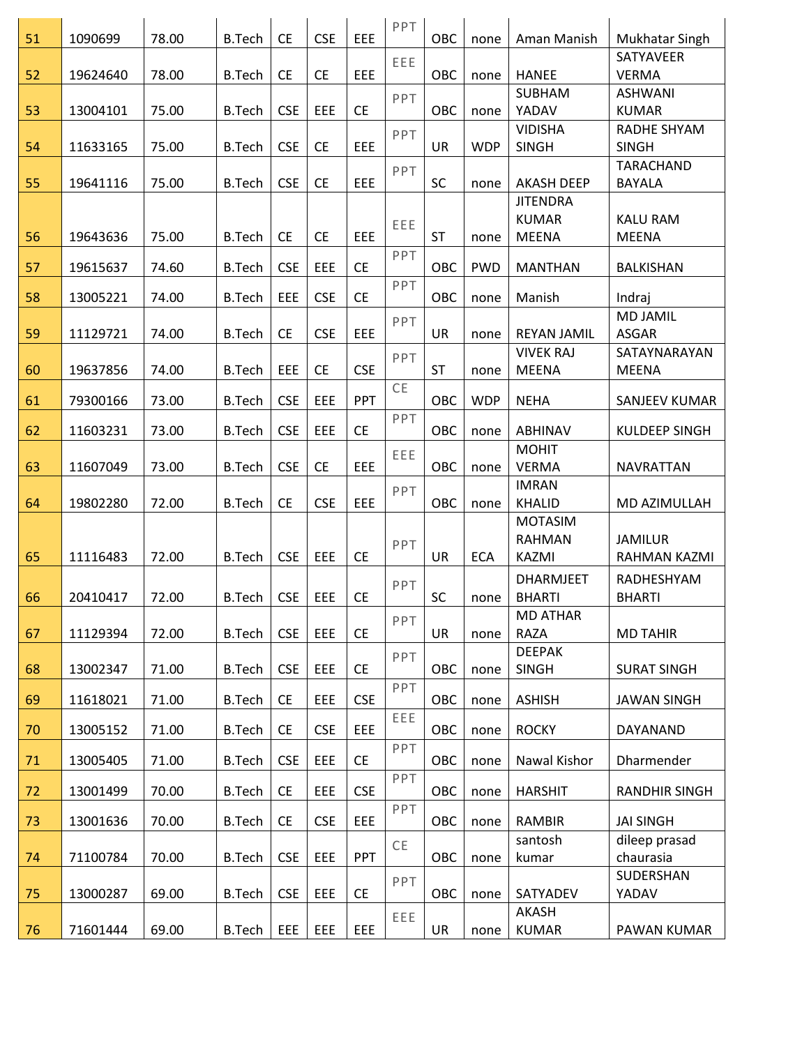| 51 | 1090699  | 78.00 | <b>B.Tech</b> | <b>CE</b>  | <b>CSE</b> | EEE        | PPT | <b>OBC</b> | none       | Aman Manish        | Mukhatar Singh            |
|----|----------|-------|---------------|------------|------------|------------|-----|------------|------------|--------------------|---------------------------|
| 52 | 19624640 | 78.00 | <b>B.Tech</b> | <b>CE</b>  | <b>CE</b>  | EEE        | EEE | OBC        | none       | <b>HANEE</b>       | SATYAVEER<br><b>VERMA</b> |
|    |          |       |               |            |            |            |     |            |            | <b>SUBHAM</b>      | <b>ASHWANI</b>            |
| 53 | 13004101 | 75.00 | <b>B.Tech</b> | <b>CSE</b> | EEE        | <b>CE</b>  | PPT | OBC        | none       | YADAV              | <b>KUMAR</b>              |
|    |          |       |               |            |            |            | PPT |            |            | <b>VIDISHA</b>     | RADHE SHYAM               |
| 54 | 11633165 | 75.00 | <b>B.Tech</b> | <b>CSE</b> | <b>CE</b>  | EEE        |     | <b>UR</b>  | <b>WDP</b> | <b>SINGH</b>       | <b>SINGH</b>              |
|    |          |       |               |            |            |            | PPT |            |            |                    | <b>TARACHAND</b>          |
| 55 | 19641116 | 75.00 | <b>B.Tech</b> | <b>CSE</b> | <b>CE</b>  | EEE        |     | SC         | none       | <b>AKASH DEEP</b>  | <b>BAYALA</b>             |
|    |          |       |               |            |            |            |     |            |            | <b>JITENDRA</b>    |                           |
|    |          |       |               |            |            |            | EEE |            |            | <b>KUMAR</b>       | <b>KALU RAM</b>           |
| 56 | 19643636 | 75.00 | <b>B.Tech</b> | <b>CE</b>  | <b>CE</b>  | EEE        |     | <b>ST</b>  | none       | <b>MEENA</b>       | <b>MEENA</b>              |
| 57 | 19615637 | 74.60 | <b>B.Tech</b> | <b>CSE</b> | EEE        | <b>CE</b>  | PPT | OBC        | <b>PWD</b> | <b>MANTHAN</b>     | BALKISHAN                 |
| 58 | 13005221 | 74.00 | <b>B.Tech</b> | EEE        | <b>CSE</b> | <b>CE</b>  | PPT | OBC        | none       | Manish             | Indraj                    |
|    |          |       |               |            |            |            | PPT |            |            |                    | <b>MD JAMIL</b>           |
| 59 | 11129721 | 74.00 | <b>B.Tech</b> | <b>CE</b>  | <b>CSE</b> | EEE        |     | <b>UR</b>  | none       | <b>REYAN JAMIL</b> | <b>ASGAR</b>              |
|    |          |       |               |            |            |            | PPT |            |            | <b>VIVEK RAJ</b>   | SATAYNARAYAN              |
| 60 | 19637856 | 74.00 | <b>B.Tech</b> | EEE        | <b>CE</b>  | <b>CSE</b> |     | <b>ST</b>  | none       | <b>MEENA</b>       | <b>MEENA</b>              |
|    |          |       |               |            |            |            | CE  |            |            |                    |                           |
| 61 | 79300166 | 73.00 | <b>B.Tech</b> | <b>CSE</b> | EEE        | PPT        |     | OBC        | <b>WDP</b> | <b>NEHA</b>        | SANJEEV KUMAR             |
| 62 | 11603231 | 73.00 | <b>B.Tech</b> | <b>CSE</b> | EEE        | <b>CE</b>  | PPT | OBC        | none       | ABHINAV            | KULDEEP SINGH             |
|    |          |       |               |            |            |            | EEE |            |            | <b>MOHIT</b>       |                           |
| 63 | 11607049 | 73.00 | <b>B.Tech</b> | <b>CSE</b> | <b>CE</b>  | EEE        |     | OBC        | none       | <b>VERMA</b>       | <b>NAVRATTAN</b>          |
|    |          |       |               |            |            |            | PPT |            |            | <b>IMRAN</b>       |                           |
| 64 | 19802280 | 72.00 | <b>B.Tech</b> | <b>CE</b>  | <b>CSE</b> | EEE        |     | OBC        | none       | <b>KHALID</b>      | MD AZIMULLAH              |
|    |          |       |               |            |            |            |     |            |            | <b>MOTASIM</b>     |                           |
|    |          |       |               |            |            |            | PPT |            |            | <b>RAHMAN</b>      | <b>JAMILUR</b>            |
| 65 | 11116483 | 72.00 | <b>B.Tech</b> | <b>CSE</b> | EEE        | <b>CE</b>  |     | <b>UR</b>  | <b>ECA</b> | KAZMI              | RAHMAN KAZMI              |
|    |          |       |               |            |            |            | PPT |            |            | <b>DHARMJEET</b>   | RADHESHYAM                |
| 66 | 20410417 | 72.00 | <b>B.Tech</b> | <b>CSE</b> | EEE        | <b>CE</b>  |     | <b>SC</b>  | none       | <b>BHARTI</b>      | <b>BHARTI</b>             |
|    |          |       |               |            |            |            | PPT |            |            | <b>MD ATHAR</b>    |                           |
| 67 | 11129394 | 72.00 | <b>B.Tech</b> | <b>CSE</b> | EEE        | <b>CE</b>  |     | <b>UR</b>  | none       | <b>RAZA</b>        | <b>MD TAHIR</b>           |
|    |          |       |               |            |            |            | PPT |            |            | <b>DEEPAK</b>      |                           |
| 68 | 13002347 | 71.00 | <b>B.Tech</b> | <b>CSE</b> | EEE        | <b>CE</b>  |     | OBC        | none       | <b>SINGH</b>       | <b>SURAT SINGH</b>        |
| 69 | 11618021 | 71.00 | <b>B.Tech</b> | <b>CE</b>  | EEE        | <b>CSE</b> | PPT | OBC        | none       | <b>ASHISH</b>      | <b>JAWAN SINGH</b>        |
| 70 | 13005152 | 71.00 | <b>B.Tech</b> | <b>CE</b>  | <b>CSE</b> | EEE        | EEE | OBC        | none       | <b>ROCKY</b>       | DAYANAND                  |
| 71 | 13005405 | 71.00 | <b>B.Tech</b> | <b>CSE</b> | EEE        | <b>CE</b>  | PPT | OBC        | none       | Nawal Kishor       | Dharmender                |
|    |          |       |               |            |            |            | PPT |            |            |                    |                           |
| 72 | 13001499 | 70.00 | <b>B.Tech</b> | <b>CE</b>  | EEE        | <b>CSE</b> |     | OBC        | none       | <b>HARSHIT</b>     | <b>RANDHIR SINGH</b>      |
| 73 | 13001636 | 70.00 | <b>B.Tech</b> | <b>CE</b>  | <b>CSE</b> | EEE        | PPT | OBC        | none       | <b>RAMBIR</b>      | <b>JAI SINGH</b>          |
|    |          |       |               |            |            |            | CE  |            |            | santosh            | dileep prasad             |
| 74 | 71100784 | 70.00 | <b>B.Tech</b> | <b>CSE</b> | EEE        | <b>PPT</b> |     | OBC        | none       | kumar              | chaurasia                 |
|    |          |       |               |            |            |            | PPT |            |            |                    | SUDERSHAN                 |
| 75 | 13000287 | 69.00 | <b>B.Tech</b> | <b>CSE</b> | EEE        | <b>CE</b>  |     | OBC        | none       | SATYADEV           | YADAV                     |
|    |          |       |               |            |            |            | EEE |            |            | AKASH              |                           |
| 76 | 71601444 | 69.00 | <b>B.Tech</b> | <b>EEE</b> | EEE        | EEE        |     | UR         | none       | <b>KUMAR</b>       | PAWAN KUMAR               |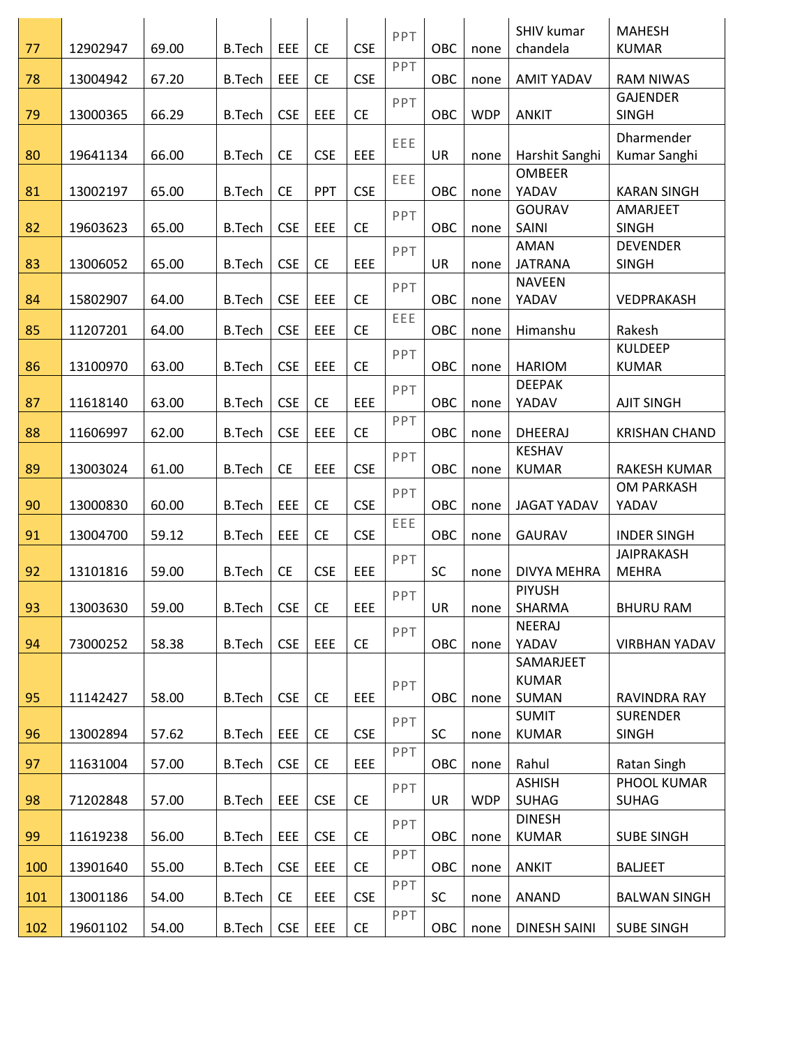|     |          |       |               |            |            |            | PPT |           |            | SHIV kumar                    | <b>MAHESH</b>                   |
|-----|----------|-------|---------------|------------|------------|------------|-----|-----------|------------|-------------------------------|---------------------------------|
| 77  | 12902947 | 69.00 | <b>B.Tech</b> | EEE        | <b>CE</b>  | <b>CSE</b> |     | OBC       | none       | chandela                      | <b>KUMAR</b>                    |
| 78  | 13004942 | 67.20 | <b>B.Tech</b> | EEE        | <b>CE</b>  | <b>CSE</b> | PPT | OBC       | none       | <b>AMIT YADAV</b>             | <b>RAM NIWAS</b>                |
| 79  | 13000365 | 66.29 | <b>B.Tech</b> | <b>CSE</b> | EEE        | <b>CE</b>  | PPT | OBC       | <b>WDP</b> | <b>ANKIT</b>                  | <b>GAJENDER</b><br><b>SINGH</b> |
|     |          |       |               |            |            |            | EEE |           |            |                               | Dharmender                      |
| 80  | 19641134 | 66.00 | <b>B.Tech</b> | <b>CE</b>  | <b>CSE</b> | EEE        |     | <b>UR</b> | none       | Harshit Sanghi                | Kumar Sanghi                    |
| 81  | 13002197 | 65.00 | <b>B.Tech</b> | <b>CE</b>  | PPT        | <b>CSE</b> | EEE | OBC       | none       | <b>OMBEER</b><br>YADAV        | <b>KARAN SINGH</b>              |
| 82  | 19603623 | 65.00 | <b>B.Tech</b> | <b>CSE</b> | EEE        | <b>CE</b>  | PPT | OBC       | none       | GOURAV<br>SAINI               | AMARJEET<br><b>SINGH</b>        |
|     |          |       |               |            |            |            |     |           |            | AMAN                          | <b>DEVENDER</b>                 |
| 83  | 13006052 | 65.00 | <b>B.Tech</b> | <b>CSE</b> | <b>CE</b>  | EEE        | PPT | UR        | none       | <b>JATRANA</b>                | <b>SINGH</b>                    |
|     |          |       |               |            |            |            | PPT |           |            | <b>NAVEEN</b>                 |                                 |
| 84  | 15802907 | 64.00 | <b>B.Tech</b> | <b>CSE</b> | EEE        | <b>CE</b>  |     | OBC       | none       | YADAV                         | VEDPRAKASH                      |
| 85  | 11207201 | 64.00 | <b>B.Tech</b> | <b>CSE</b> | EEE        | <b>CE</b>  | EEE | OBC       | none       | Himanshu                      | Rakesh                          |
|     |          |       |               |            |            |            | PPT |           |            |                               | <b>KULDEEP</b>                  |
| 86  | 13100970 | 63.00 | <b>B.Tech</b> | <b>CSE</b> | EEE        | <b>CE</b>  |     | OBC       | none       | <b>HARIOM</b>                 | <b>KUMAR</b>                    |
|     |          |       |               |            |            |            | PPT |           |            | <b>DEEPAK</b>                 |                                 |
| 87  | 11618140 | 63.00 | <b>B.Tech</b> | <b>CSE</b> | <b>CE</b>  | EEE        |     | OBC       | none       | YADAV                         | <b>AJIT SINGH</b>               |
| 88  | 11606997 | 62.00 | <b>B.Tech</b> | <b>CSE</b> | EEE        | <b>CE</b>  | PPT | OBC       | none       | <b>DHEERAJ</b>                | <b>KRISHAN CHAND</b>            |
|     |          |       |               |            |            |            | PPT |           |            | <b>KESHAV</b>                 |                                 |
| 89  | 13003024 | 61.00 | <b>B.Tech</b> | <b>CE</b>  | EEE        | <b>CSE</b> |     | OBC       | none       | <b>KUMAR</b>                  | RAKESH KUMAR                    |
|     |          |       |               |            |            |            | PPT |           |            |                               | <b>OM PARKASH</b>               |
| 90  | 13000830 | 60.00 | <b>B.Tech</b> | EEE        | <b>CE</b>  | <b>CSE</b> |     | OBC       | none       | <b>JAGAT YADAV</b>            | YADAV                           |
| 91  | 13004700 | 59.12 | <b>B.Tech</b> | EEE        | <b>CE</b>  | <b>CSE</b> | EEE | OBC       | none       | <b>GAURAV</b>                 | <b>INDER SINGH</b>              |
|     |          |       |               |            |            |            | PPT |           |            |                               | <b>JAIPRAKASH</b>               |
| 92  | 13101816 | 59.00 | <b>B.Tech</b> | <b>CE</b>  | <b>CSE</b> | EEE        |     | SC        | none       | <b>DIVYA MEHRA</b>            | <b>MEHRA</b>                    |
|     |          |       |               |            |            |            | PPT |           |            | <b>PIYUSH</b>                 |                                 |
| 93  | 13003630 | 59.00 | <b>B.Tech</b> | <b>CSE</b> | <b>CE</b>  | EEE        |     | UR        | none       | SHARMA                        | <b>BHURU RAM</b>                |
|     |          |       |               |            |            |            | PPT |           |            | <b>NEERAJ</b>                 |                                 |
| 94  | 73000252 | 58.38 | <b>B.Tech</b> | <b>CSE</b> | EEE        | <b>CE</b>  |     | OBC       | none       | YADAV                         | <b>VIRBHAN YADAV</b>            |
|     |          |       |               |            |            |            |     |           |            | SAMARJEET                     |                                 |
|     |          |       |               |            |            |            | PPT |           |            | <b>KUMAR</b>                  |                                 |
| 95  | 11142427 | 58.00 | <b>B.Tech</b> | <b>CSE</b> | <b>CE</b>  | <b>EEE</b> |     | OBC       | none       | SUMAN                         | RAVINDRA RAY                    |
| 96  | 13002894 | 57.62 | <b>B.Tech</b> | EEE        | <b>CE</b>  | <b>CSE</b> | PPT | SC        | none       | <b>SUMIT</b><br><b>KUMAR</b>  | <b>SURENDER</b><br><b>SINGH</b> |
|     |          |       |               |            |            |            | PPT |           |            |                               |                                 |
| 97  | 11631004 | 57.00 | <b>B.Tech</b> | <b>CSE</b> | <b>CE</b>  | <b>EEE</b> |     | OBC       | none       | Rahul                         | Ratan Singh                     |
| 98  | 71202848 | 57.00 | <b>B.Tech</b> | EEE        | <b>CSE</b> | <b>CE</b>  | PPT | UR        | <b>WDP</b> | <b>ASHISH</b><br><b>SUHAG</b> | PHOOL KUMAR<br><b>SUHAG</b>     |
|     |          |       |               |            |            |            |     |           |            | <b>DINESH</b>                 |                                 |
| 99  | 11619238 | 56.00 | <b>B.Tech</b> | EEE        | <b>CSE</b> | <b>CE</b>  | PPT | OBC       | none       | <b>KUMAR</b>                  | <b>SUBE SINGH</b>               |
| 100 | 13901640 | 55.00 | <b>B.Tech</b> | <b>CSE</b> | EEE        | <b>CE</b>  | PPT | OBC       | none       | <b>ANKIT</b>                  | <b>BALJEET</b>                  |
| 101 | 13001186 | 54.00 | <b>B.Tech</b> | <b>CE</b>  | EEE        | <b>CSE</b> | PPT | SC        | none       | <b>ANAND</b>                  | <b>BALWAN SINGH</b>             |
|     |          |       |               |            |            |            | PPT |           |            |                               |                                 |
| 102 | 19601102 | 54.00 | <b>B.Tech</b> | <b>CSE</b> | EEE        | <b>CE</b>  |     | OBC       | none       | <b>DINESH SAINI</b>           | <b>SUBE SINGH</b>               |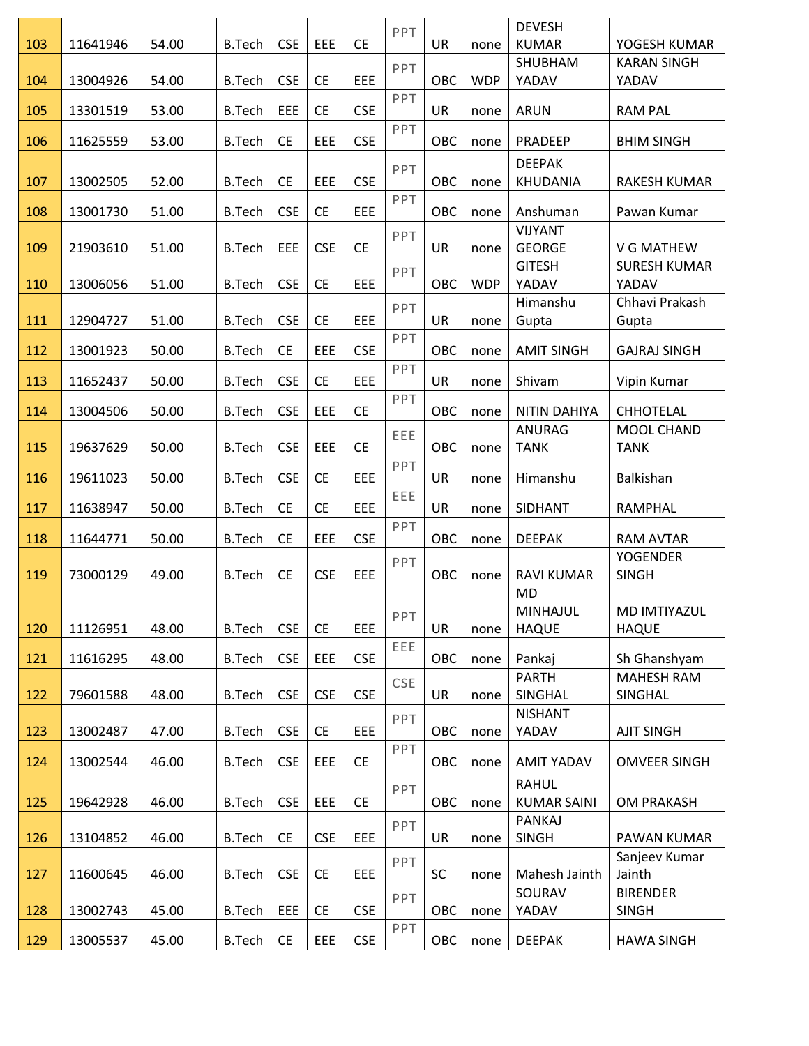|     |          |       |               |            |            |                       | PPT |           |            | <b>DEVESH</b>                   |                                 |
|-----|----------|-------|---------------|------------|------------|-----------------------|-----|-----------|------------|---------------------------------|---------------------------------|
| 103 | 11641946 | 54.00 | <b>B.Tech</b> | <b>CSE</b> | EEE        | <b>CE</b>             |     | <b>UR</b> | none       | <b>KUMAR</b>                    | YOGESH KUMAR                    |
| 104 | 13004926 | 54.00 | <b>B.Tech</b> | <b>CSE</b> | <b>CE</b>  | EEE                   | PPT | OBC       | <b>WDP</b> | SHUBHAM<br>YADAV                | <b>KARAN SINGH</b><br>YADAV     |
|     |          |       |               |            |            |                       | PPT |           |            |                                 |                                 |
| 105 | 13301519 | 53.00 | <b>B.Tech</b> | EEE        | <b>CE</b>  | <b>CSE</b>            |     | <b>UR</b> | none       | <b>ARUN</b>                     | <b>RAM PAL</b>                  |
| 106 | 11625559 | 53.00 | <b>B.Tech</b> | <b>CE</b>  | EEE        | <b>CSE</b>            | PPT | OBC       | none       | PRADEEP                         | <b>BHIM SINGH</b>               |
|     |          |       |               |            |            |                       | PPT |           |            | <b>DEEPAK</b>                   |                                 |
| 107 | 13002505 | 52.00 | <b>B.Tech</b> | <b>CE</b>  | EEE        | <b>CSE</b>            |     | OBC       | none       | KHUDANIA                        | RAKESH KUMAR                    |
| 108 | 13001730 | 51.00 | <b>B.Tech</b> | <b>CSE</b> | <b>CE</b>  | EEE                   | PPT | OBC       | none       | Anshuman                        | Pawan Kumar                     |
| 109 | 21903610 | 51.00 | <b>B.Tech</b> | EEE        | <b>CSE</b> | <b>CE</b>             | PPT | UR        | none       | <b>VIJYANT</b><br><b>GEORGE</b> | V G MATHEW                      |
|     |          |       |               |            |            |                       |     |           |            | <b>GITESH</b>                   | <b>SURESH KUMAR</b>             |
| 110 | 13006056 | 51.00 | <b>B.Tech</b> | <b>CSE</b> | <b>CE</b>  | EEE                   | PPT | OBC       | <b>WDP</b> | YADAV                           | YADAV                           |
|     |          |       |               |            |            |                       | PPT |           |            | Himanshu                        | Chhavi Prakash                  |
| 111 | 12904727 | 51.00 | <b>B.Tech</b> | <b>CSE</b> | <b>CE</b>  | EEE                   |     | UR        | none       | Gupta                           | Gupta                           |
| 112 | 13001923 | 50.00 | <b>B.Tech</b> | <b>CE</b>  | EEE        | <b>CSE</b>            | PPT | OBC       | none       | <b>AMIT SINGH</b>               | <b>GAJRAJ SINGH</b>             |
| 113 | 11652437 | 50.00 | <b>B.Tech</b> | <b>CSE</b> | <b>CE</b>  | EEE                   | PPT | <b>UR</b> | none       | Shivam                          | Vipin Kumar                     |
| 114 | 13004506 | 50.00 | <b>B.Tech</b> | <b>CSE</b> | EEE        | <b>CE</b>             | PPT | OBC       | none       | <b>NITIN DAHIYA</b>             | <b>CHHOTELAL</b>                |
|     |          |       |               |            |            |                       | EEE |           |            | ANURAG                          | MOOL CHAND                      |
| 115 | 19637629 | 50.00 | <b>B.Tech</b> | <b>CSE</b> | EEE        | <b>CE</b>             |     | OBC       | none       | <b>TANK</b>                     | <b>TANK</b>                     |
| 116 | 19611023 | 50.00 | <b>B.Tech</b> | <b>CSE</b> | <b>CE</b>  | EEE                   | PPT | UR        | none       | Himanshu                        | Balkishan                       |
| 117 | 11638947 | 50.00 | <b>B.Tech</b> | <b>CE</b>  | <b>CE</b>  | EEE                   | EEE | UR        | none       | <b>SIDHANT</b>                  | RAMPHAL                         |
| 118 | 11644771 | 50.00 | <b>B.Tech</b> | <b>CE</b>  | EEE        | <b>CSE</b>            | PPT | OBC       | none       | <b>DEEPAK</b>                   | <b>RAM AVTAR</b>                |
| 119 | 73000129 | 49.00 | <b>B.Tech</b> | <b>CE</b>  | <b>CSE</b> | EEE                   | PPT | OBC       | none       | <b>RAVI KUMAR</b>               | <b>YOGENDER</b><br><b>SINGH</b> |
|     |          |       |               |            |            |                       |     |           |            | <b>MD</b>                       |                                 |
|     |          |       |               |            |            |                       | PPT |           |            | <b>MINHAJUL</b>                 | MD IMTIYAZUL                    |
| 120 | 11126951 | 48.00 | <b>B.Tech</b> | <b>CSE</b> | <b>CE</b>  | EEE                   |     | UR        | none       | <b>HAQUE</b>                    | <b>HAQUE</b>                    |
| 121 | 11616295 | 48.00 | <b>B.Tech</b> | <b>CSE</b> | EEE        | <b>CSE</b>            | EEE | OBC       | none       | Pankaj                          | Sh Ghanshyam                    |
|     |          |       |               |            |            |                       | CSE |           |            | <b>PARTH</b>                    | <b>MAHESH RAM</b>               |
| 122 | 79601588 | 48.00 | <b>B.Tech</b> | <b>CSE</b> | <b>CSE</b> | <b>CSE</b>            |     | <b>UR</b> | none       | SINGHAL                         | SINGHAL                         |
|     |          |       |               |            |            |                       | PPT |           |            | <b>NISHANT</b>                  |                                 |
| 123 | 13002487 | 47.00 | <b>B.Tech</b> | <b>CSE</b> | <b>CE</b>  | EEE                   |     | OBC       | none       | YADAV                           | <b>AJIT SINGH</b>               |
| 124 | 13002544 | 46.00 | <b>B.Tech</b> | <b>CSE</b> | EEE        | <b>CE</b>             | PPT | OBC       | none       | <b>AMIT YADAV</b>               | <b>OMVEER SINGH</b>             |
|     |          |       |               |            |            |                       | PPT |           |            | <b>RAHUL</b>                    |                                 |
| 125 | 19642928 | 46.00 | <b>B.Tech</b> | <b>CSE</b> | EEE        | <b>CE</b>             |     | OBC       | none       | <b>KUMAR SAINI</b>              | OM PRAKASH                      |
|     |          |       |               |            |            |                       | PPT |           |            | PANKAJ                          |                                 |
| 126 | 13104852 | 46.00 | <b>B.Tech</b> | <b>CE</b>  | <b>CSE</b> | EEE                   |     | UR        | none       | <b>SINGH</b>                    | PAWAN KUMAR                     |
| 127 | 11600645 | 46.00 | <b>B.Tech</b> | <b>CSE</b> | <b>CE</b>  | EEE                   | PPT | SC        | none       | Mahesh Jainth                   | Sanjeev Kumar<br>Jainth         |
|     |          |       |               |            |            |                       | PPT |           |            | SOURAV                          | <b>BIRENDER</b>                 |
| 128 | 13002743 | 45.00 | <b>B.Tech</b> | EEE        | <b>CE</b>  | <b>CSE</b>            |     | OBC       | none       | YADAV                           | <b>SINGH</b>                    |
| 129 | 13005537 | 45.00 | <b>B.Tech</b> | <b>CE</b>  | EEE        | $\mathsf{CSE}\xspace$ | PPT | OBC       | none       | <b>DEEPAK</b>                   | <b>HAWA SINGH</b>               |
|     |          |       |               |            |            |                       |     |           |            |                                 |                                 |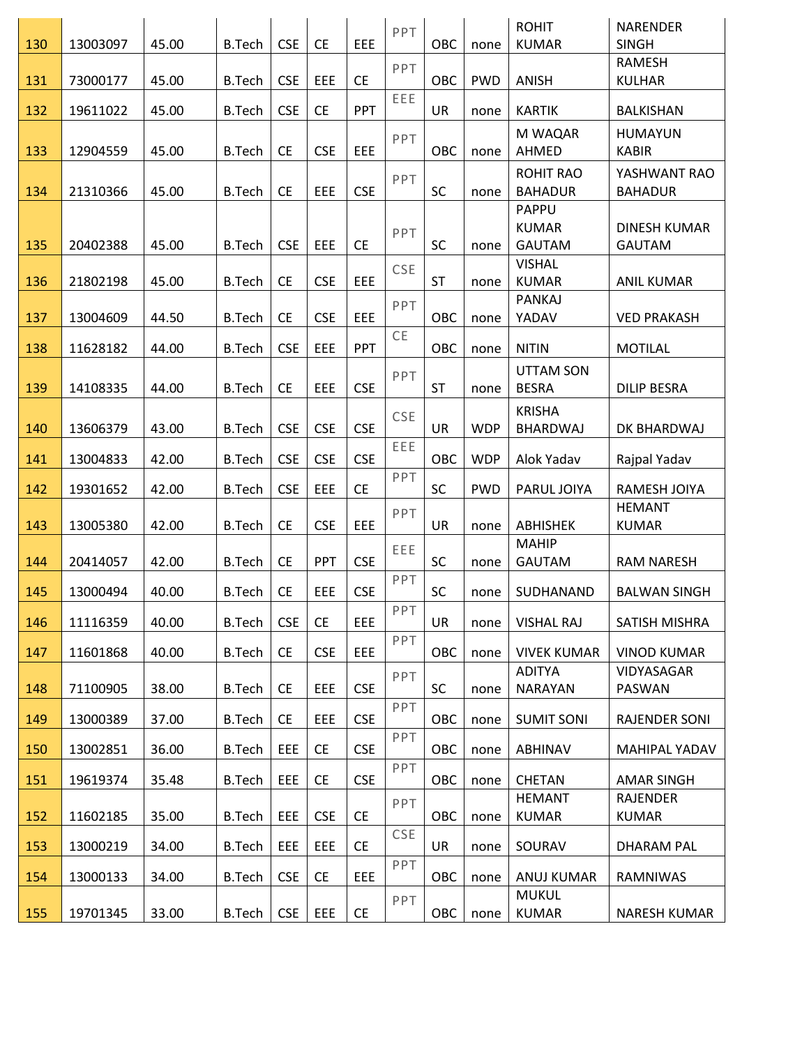| 130 | 13003097 | 45.00 | <b>B.Tech</b> | <b>CSE</b> | <b>CE</b>  | EEE        | PPT        | OBC        | none       | <b>ROHIT</b><br><b>KUMAR</b>       | <b>NARENDER</b><br><b>SINGH</b>      |
|-----|----------|-------|---------------|------------|------------|------------|------------|------------|------------|------------------------------------|--------------------------------------|
|     |          |       |               |            |            |            | PPT        |            |            |                                    | <b>RAMESH</b>                        |
| 131 | 73000177 | 45.00 | <b>B.Tech</b> | <b>CSE</b> | EEE        | <b>CE</b>  |            | OBC        | <b>PWD</b> | ANISH                              | <b>KULHAR</b>                        |
| 132 | 19611022 | 45.00 | <b>B.Tech</b> | <b>CSE</b> | <b>CE</b>  | <b>PPT</b> | EEE        | UR         | none       | <b>KARTIK</b>                      | <b>BALKISHAN</b>                     |
|     |          |       |               |            |            |            | PPT        |            |            | M WAQAR                            | <b>HUMAYUN</b>                       |
| 133 | 12904559 | 45.00 | <b>B.Tech</b> | <b>CE</b>  | <b>CSE</b> | EEE        |            | OBC        | none       | AHMED                              | <b>KABIR</b>                         |
| 134 | 21310366 | 45.00 | <b>B.Tech</b> | <b>CE</b>  | EEE        | <b>CSE</b> | PPT        | SC         | none       | <b>ROHIT RAO</b><br><b>BAHADUR</b> | YASHWANT RAO<br><b>BAHADUR</b>       |
|     |          |       |               |            |            |            |            |            |            | PAPPU                              |                                      |
| 135 | 20402388 | 45.00 | <b>B.Tech</b> | <b>CSE</b> | EEE        | <b>CE</b>  | PPT        | SC         | none       | <b>KUMAR</b><br><b>GAUTAM</b>      | <b>DINESH KUMAR</b><br><b>GAUTAM</b> |
|     |          |       |               |            |            |            | CSE        |            |            | <b>VISHAL</b>                      |                                      |
| 136 | 21802198 | 45.00 | <b>B.Tech</b> | <b>CE</b>  | <b>CSE</b> | EEE        |            | <b>ST</b>  | none       | <b>KUMAR</b>                       | <b>ANIL KUMAR</b>                    |
| 137 | 13004609 | 44.50 | <b>B.Tech</b> | <b>CE</b>  | <b>CSE</b> | EEE        | PPT        | OBC        | none       | PANKAJ<br>YADAV                    | <b>VED PRAKASH</b>                   |
| 138 | 11628182 | 44.00 | <b>B.Tech</b> | <b>CSE</b> | EEE        | <b>PPT</b> | CE         | OBC        | none       | <b>NITIN</b>                       | <b>MOTILAL</b>                       |
|     |          |       |               |            |            |            | PPT        |            |            | <b>UTTAM SON</b>                   |                                      |
| 139 | 14108335 | 44.00 | <b>B.Tech</b> | <b>CE</b>  | EEE        | <b>CSE</b> |            | <b>ST</b>  | none       | <b>BESRA</b>                       | <b>DILIP BESRA</b>                   |
|     |          |       |               |            |            |            | CSE        |            |            | <b>KRISHA</b>                      |                                      |
| 140 | 13606379 | 43.00 | <b>B.Tech</b> | <b>CSE</b> | <b>CSE</b> | <b>CSE</b> | EEE        | <b>UR</b>  | <b>WDP</b> | BHARDWAJ                           | DK BHARDWAJ                          |
| 141 | 13004833 | 42.00 | <b>B.Tech</b> | <b>CSE</b> | <b>CSE</b> | <b>CSE</b> |            | OBC        | <b>WDP</b> | Alok Yadav                         | Rajpal Yadav                         |
| 142 | 19301652 | 42.00 | <b>B.Tech</b> | <b>CSE</b> | EEE        | <b>CE</b>  | PPT        | SC         | <b>PWD</b> | PARUL JOIYA                        | RAMESH JOIYA                         |
| 143 | 13005380 | 42.00 | <b>B.Tech</b> | <b>CE</b>  | <b>CSE</b> | EEE        | PPT        | <b>UR</b>  | none       | <b>ABHISHEK</b>                    | <b>HEMANT</b><br><b>KUMAR</b>        |
|     |          |       |               |            |            |            | EEE        |            |            | <b>MAHIP</b>                       |                                      |
| 144 | 20414057 | 42.00 | <b>B.Tech</b> | <b>CE</b>  | PPT        | <b>CSE</b> |            | SC         | none       | <b>GAUTAM</b>                      | <b>RAM NARESH</b>                    |
| 145 | 13000494 | 40.00 | <b>B.Tech</b> | <b>CE</b>  | EEE        | <b>CSE</b> | PPT        | SC         | none       | SUDHANAND                          | <b>BALWAN SINGH</b>                  |
| 146 | 11116359 | 40.00 | <b>B.Tech</b> | <b>CSE</b> | <b>CE</b>  | <b>EEE</b> | PPT        | <b>UR</b>  | none       | <b>VISHAL RAJ</b>                  | SATISH MISHRA                        |
| 147 | 11601868 | 40.00 | <b>B.Tech</b> | <b>CE</b>  | <b>CSE</b> | EEE        | PPT        | <b>OBC</b> | none       | <b>VIVEK KUMAR</b>                 | <b>VINOD KUMAR</b>                   |
|     |          |       |               |            |            |            | PPT        |            |            | <b>ADITYA</b>                      | VIDYASAGAR                           |
| 148 | 71100905 | 38.00 | <b>B.Tech</b> | <b>CE</b>  | EEE        | <b>CSE</b> | PPT        | SC         | none       | <b>NARAYAN</b>                     | PASWAN                               |
| 149 | 13000389 | 37.00 | <b>B.Tech</b> | <b>CE</b>  | EEE        | <b>CSE</b> |            | OBC        | none       | <b>SUMIT SONI</b>                  | RAJENDER SONI                        |
| 150 | 13002851 | 36.00 | <b>B.Tech</b> | EEE        | <b>CE</b>  | <b>CSE</b> | PPT        | OBC        | none       | <b>ABHINAV</b>                     | MAHIPAL YADAV                        |
| 151 | 19619374 | 35.48 | <b>B.Tech</b> | EEE        | <b>CE</b>  | <b>CSE</b> | PPT        | OBC        | none       | CHETAN                             | <b>AMAR SINGH</b>                    |
|     |          |       |               |            |            |            | PPT        |            |            | <b>HEMANT</b>                      | <b>RAJENDER</b>                      |
| 152 | 11602185 | 35.00 | <b>B.Tech</b> | EEE        | <b>CSE</b> | <b>CE</b>  | <b>CSE</b> | OBC        | none       | <b>KUMAR</b>                       | <b>KUMAR</b>                         |
| 153 | 13000219 | 34.00 | <b>B.Tech</b> | EEE        | EEE        | <b>CE</b>  |            | <b>UR</b>  | none       | SOURAV                             | DHARAM PAL                           |
| 154 | 13000133 | 34.00 | <b>B.Tech</b> | <b>CSE</b> | <b>CE</b>  | EEE        | PPT        | OBC        | none       | <b>ANUJ KUMAR</b>                  | RAMNIWAS                             |
|     |          |       |               |            |            |            | <b>PPT</b> |            |            | <b>MUKUL</b>                       |                                      |
| 155 | 19701345 | 33.00 | B.Tech        | <b>CSE</b> | EEE        | <b>CE</b>  |            | OBC        | none       | <b>KUMAR</b>                       | NARESH KUMAR                         |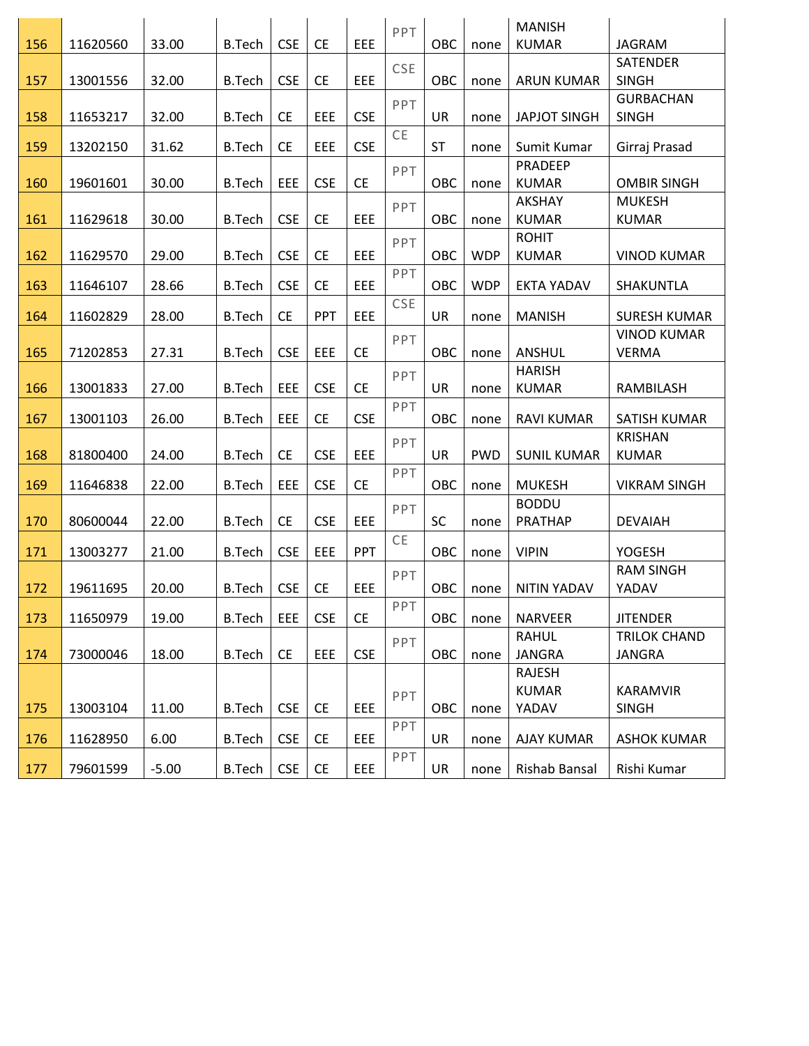|     |          |         |               |            |            |            | PPT       |           |            | <b>MANISH</b>       |                           |
|-----|----------|---------|---------------|------------|------------|------------|-----------|-----------|------------|---------------------|---------------------------|
| 156 | 11620560 | 33.00   | <b>B.Tech</b> | <b>CSE</b> | <b>CE</b>  | EEE        |           | OBC       | none       | <b>KUMAR</b>        | <b>JAGRAM</b>             |
|     |          |         |               |            |            |            | CSE       |           |            |                     | <b>SATENDER</b>           |
| 157 | 13001556 | 32.00   | <b>B.Tech</b> | <b>CSE</b> | <b>CE</b>  | EEE        |           | OBC       | none       | <b>ARUN KUMAR</b>   | <b>SINGH</b>              |
|     |          |         |               |            |            |            | PPT       |           |            |                     | <b>GURBACHAN</b>          |
| 158 | 11653217 | 32.00   | <b>B.Tech</b> | <b>CE</b>  | EEE        | <b>CSE</b> |           | UR        | none       | <b>JAPJOT SINGH</b> | <b>SINGH</b>              |
| 159 | 13202150 | 31.62   | <b>B.Tech</b> | <b>CE</b>  | EEE        | <b>CSE</b> | <b>CE</b> | <b>ST</b> | none       | Sumit Kumar         | Girraj Prasad             |
|     |          |         |               |            |            |            | PPT       |           |            | PRADEEP             |                           |
| 160 | 19601601 | 30.00   | <b>B.Tech</b> | EEE        | <b>CSE</b> | <b>CE</b>  |           | OBC       | none       | <b>KUMAR</b>        | <b>OMBIR SINGH</b>        |
|     |          |         |               |            |            |            | PPT       |           |            | <b>AKSHAY</b>       | <b>MUKESH</b>             |
| 161 | 11629618 | 30.00   | <b>B.Tech</b> | <b>CSE</b> | <b>CE</b>  | EEE        |           | OBC       | none       | <b>KUMAR</b>        | <b>KUMAR</b>              |
|     |          |         |               |            |            |            | PPT       |           |            | <b>ROHIT</b>        |                           |
| 162 | 11629570 | 29.00   | <b>B.Tech</b> | <b>CSE</b> | <b>CE</b>  | EEE        |           | OBC       | <b>WDP</b> | <b>KUMAR</b>        | <b>VINOD KUMAR</b>        |
| 163 | 11646107 | 28.66   | <b>B.Tech</b> | <b>CSE</b> | <b>CE</b>  | EEE        | PPT       | OBC       | <b>WDP</b> | <b>EKTA YADAV</b>   | SHAKUNTLA                 |
|     |          |         |               |            |            |            | CSE       |           |            |                     |                           |
| 164 | 11602829 | 28.00   | <b>B.Tech</b> | <b>CE</b>  | PPT        | EEE        |           | UR        | none       | <b>MANISH</b>       | <b>SURESH KUMAR</b>       |
|     |          |         |               |            |            |            | PPT       |           |            |                     | <b>VINOD KUMAR</b>        |
| 165 | 71202853 | 27.31   | <b>B.Tech</b> | <b>CSE</b> | EEE        | <b>CE</b>  |           | OBC       | none       | <b>ANSHUL</b>       | <b>VERMA</b>              |
|     |          |         |               |            |            |            | PPT       |           |            | <b>HARISH</b>       |                           |
| 166 | 13001833 | 27.00   | <b>B.Tech</b> | EEE        | <b>CSE</b> | <b>CE</b>  |           | UR        | none       | <b>KUMAR</b>        | RAMBILASH                 |
|     |          |         |               |            |            |            | PPT       |           |            |                     |                           |
| 167 | 13001103 | 26.00   | <b>B.Tech</b> | EEE        | <b>CE</b>  | <b>CSE</b> |           | OBC       | none       | <b>RAVI KUMAR</b>   | <b>SATISH KUMAR</b>       |
| 168 |          | 24.00   |               | <b>CE</b>  | <b>CSE</b> | EEE        | PPT       | UR        | <b>PWD</b> |                     | <b>KRISHAN</b>            |
|     | 81800400 |         | <b>B.Tech</b> |            |            |            | PPT       |           |            | <b>SUNIL KUMAR</b>  | <b>KUMAR</b>              |
| 169 | 11646838 | 22.00   | <b>B.Tech</b> | EEE        | <b>CSE</b> | <b>CE</b>  |           | OBC       | none       | <b>MUKESH</b>       | <b>VIKRAM SINGH</b>       |
|     |          |         |               |            |            |            | PPT       |           |            | <b>BODDU</b>        |                           |
| 170 | 80600044 | 22.00   | <b>B.Tech</b> | <b>CE</b>  | <b>CSE</b> | EEE        |           | <b>SC</b> | none       | PRATHAP             | <b>DEVAIAH</b>            |
|     |          |         |               |            |            |            | CE        |           |            |                     |                           |
| 171 | 13003277 | 21.00   | <b>B.Tech</b> | <b>CSE</b> | EEE        | PPT        |           | OBC       | none       | <b>VIPIN</b>        | YOGESH                    |
| 172 | 19611695 | 20.00   | <b>B.Tech</b> | <b>CSE</b> | <b>CE</b>  | EEE        | PPT       | OBC       | none       | <b>NITIN YADAV</b>  | <b>RAM SINGH</b><br>YADAV |
|     |          |         |               |            |            |            | PPT       |           |            |                     |                           |
| 173 | 11650979 | 19.00   | <b>B.Tech</b> | EEE        | <b>CSE</b> | <b>CE</b>  |           | OBC       | none       | <b>NARVEER</b>      | <b>JITENDER</b>           |
|     |          |         |               |            |            |            | PPT       |           |            | <b>RAHUL</b>        | TRILOK CHAND              |
| 174 | 73000046 | 18.00   | <b>B.Tech</b> | <b>CE</b>  | EEE        | <b>CSE</b> |           | OBC       | none       | <b>JANGRA</b>       | <b>JANGRA</b>             |
|     |          |         |               |            |            |            |           |           |            | <b>RAJESH</b>       |                           |
|     |          |         |               |            |            |            | PPT       |           |            | <b>KUMAR</b>        | <b>KARAMVIR</b>           |
| 175 | 13003104 | 11.00   | <b>B.Tech</b> | <b>CSE</b> | <b>CE</b>  | EEE        |           | OBC       | none       | YADAV               | <b>SINGH</b>              |
| 176 | 11628950 | 6.00    | <b>B.Tech</b> | <b>CSE</b> | <b>CE</b>  | EEE        | PPT       | UR        | none       | <b>AJAY KUMAR</b>   | <b>ASHOK KUMAR</b>        |
|     |          |         |               |            |            |            | PPT       |           |            |                     |                           |
| 177 | 79601599 | $-5.00$ | <b>B.Tech</b> | <b>CSE</b> | <b>CE</b>  | EEE        |           | UR        | none       | Rishab Bansal       | Rishi Kumar               |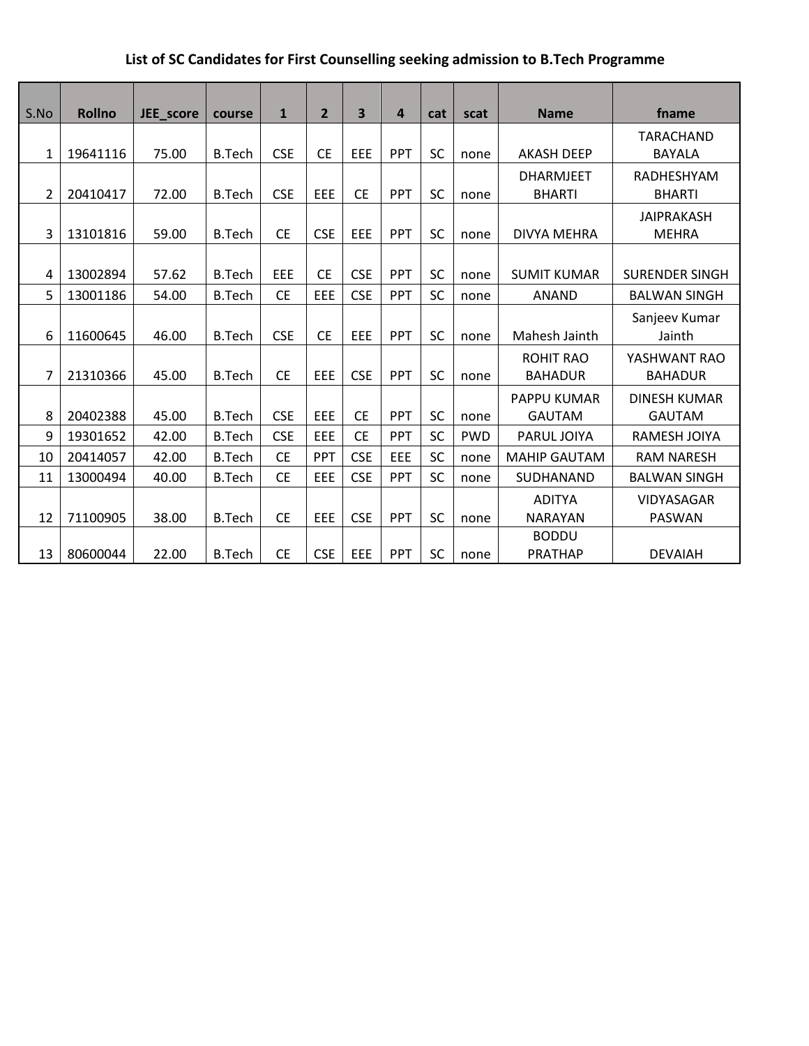## **List of SC Candidates for First Counselling seeking admission to B.Tech Programme**

| S.No         | <b>Rollno</b> | JEE_score | course        | $\mathbf{1}$ | $\overline{2}$ | 3          | 4          | cat       | scat       | <b>Name</b>                        | fname                                |
|--------------|---------------|-----------|---------------|--------------|----------------|------------|------------|-----------|------------|------------------------------------|--------------------------------------|
| $\mathbf{1}$ | 19641116      | 75.00     | <b>B.Tech</b> | <b>CSE</b>   | <b>CE</b>      | EEE        | <b>PPT</b> | <b>SC</b> | none       | <b>AKASH DEEP</b>                  | TARACHAND<br><b>BAYALA</b>           |
| 2            | 20410417      | 72.00     | <b>B.Tech</b> | <b>CSE</b>   | <b>EEE</b>     | <b>CE</b>  | PPT        | <b>SC</b> | none       | <b>DHARMJEET</b><br><b>BHARTI</b>  | RADHESHYAM<br><b>BHARTI</b>          |
| 3            | 13101816      | 59.00     | <b>B.Tech</b> | <b>CE</b>    | <b>CSE</b>     | EEE        | PPT        | SC        | none       | <b>DIVYA MEHRA</b>                 | <b>JAIPRAKASH</b><br><b>MEHRA</b>    |
| 4            | 13002894      | 57.62     | <b>B.Tech</b> | EEE          | <b>CE</b>      | <b>CSE</b> | PPT        | <b>SC</b> | none       | <b>SUMIT KUMAR</b>                 | <b>SURENDER SINGH</b>                |
| 5            | 13001186      | 54.00     | <b>B.Tech</b> | <b>CE</b>    | EEE            | <b>CSE</b> | <b>PPT</b> | <b>SC</b> | none       | ANAND                              | <b>BALWAN SINGH</b>                  |
| 6            | 11600645      | 46.00     | <b>B.Tech</b> | <b>CSE</b>   | <b>CE</b>      | EEE        | PPT        | <b>SC</b> | none       | Mahesh Jainth                      | Sanjeev Kumar<br>Jainth              |
| 7            | 21310366      | 45.00     | <b>B.Tech</b> | <b>CE</b>    | <b>EEE</b>     | <b>CSE</b> | PPT        | <b>SC</b> | none       | <b>ROHIT RAO</b><br><b>BAHADUR</b> | YASHWANT RAO<br><b>BAHADUR</b>       |
| 8            | 20402388      | 45.00     | <b>B.Tech</b> | <b>CSE</b>   | EEE            | <b>CE</b>  | <b>PPT</b> | <b>SC</b> | none       | PAPPU KUMAR<br><b>GAUTAM</b>       | <b>DINESH KUMAR</b><br><b>GAUTAM</b> |
| 9            | 19301652      | 42.00     | <b>B.Tech</b> | <b>CSE</b>   | EEE            | <b>CE</b>  | <b>PPT</b> | SC        | <b>PWD</b> | PARUL JOIYA                        | <b>RAMESH JOIYA</b>                  |
| 10           | 20414057      | 42.00     | <b>B.Tech</b> | <b>CE</b>    | PPT            | <b>CSE</b> | EEE        | <b>SC</b> | none       | <b>MAHIP GAUTAM</b>                | <b>RAM NARESH</b>                    |
| 11           | 13000494      | 40.00     | <b>B.Tech</b> | <b>CE</b>    | EEE            | <b>CSE</b> | PPT        | SC        | none       | SUDHANAND                          | <b>BALWAN SINGH</b>                  |
| 12           | 71100905      | 38.00     | <b>B.Tech</b> | <b>CE</b>    | EEE            | <b>CSE</b> | PPT        | <b>SC</b> | none       | <b>ADITYA</b><br><b>NARAYAN</b>    | VIDYASAGAR<br><b>PASWAN</b>          |
| 13           | 80600044      | 22.00     | <b>B.Tech</b> | <b>CE</b>    | <b>CSE</b>     | EEE        | PPT        | <b>SC</b> | none       | <b>BODDU</b><br><b>PRATHAP</b>     | <b>DEVAIAH</b>                       |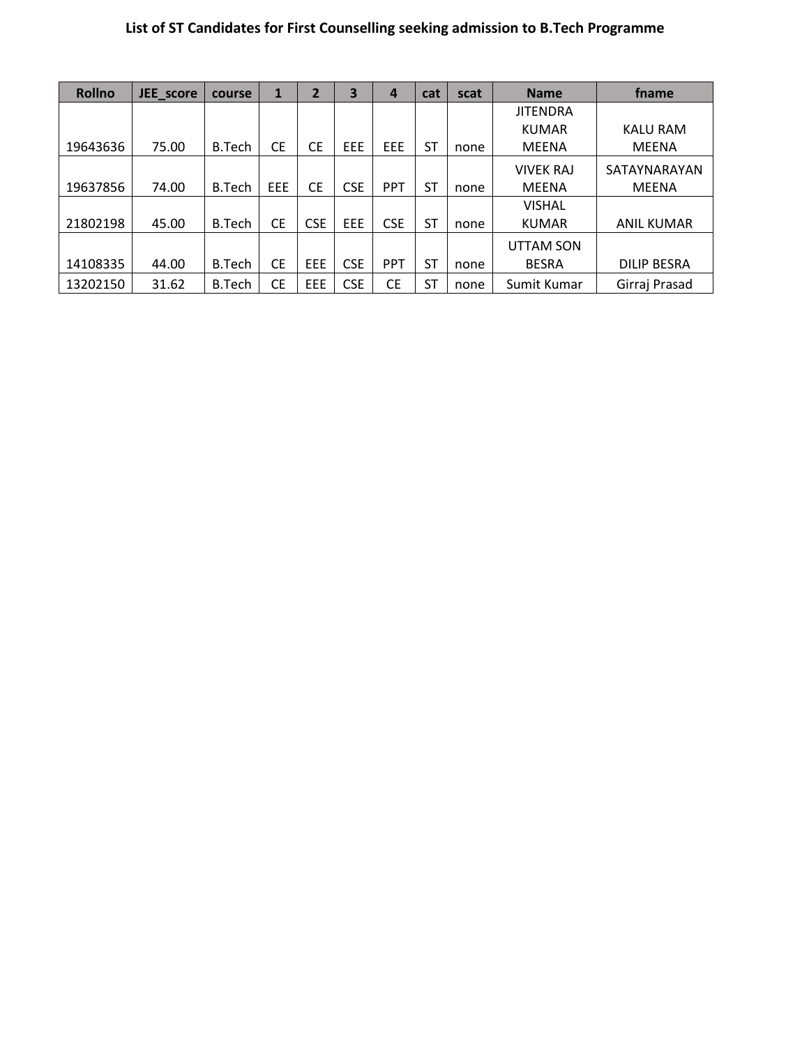# **List of ST Candidates for First Counselling seeking admission to B.Tech Programme**

| <b>Rollno</b> | JEE score | course        | 1         | $\overline{2}$ | 3          | 4          | cat       | scat | <b>Name</b>      | fname              |
|---------------|-----------|---------------|-----------|----------------|------------|------------|-----------|------|------------------|--------------------|
|               |           |               |           |                |            |            |           |      | <b>JITENDRA</b>  |                    |
|               |           |               |           |                |            |            |           |      | <b>KUMAR</b>     | <b>KALU RAM</b>    |
| 19643636      | 75.00     | B.Tech        | <b>CE</b> | <b>CE</b>      | EEE        | EEE        | <b>ST</b> | none | <b>MEENA</b>     | <b>MEENA</b>       |
|               |           |               |           |                |            |            |           |      | <b>VIVEK RAJ</b> | SATAYNARAYAN       |
| 19637856      | 74.00     | B.Tech        | EEE       | <b>CE</b>      | <b>CSE</b> | <b>PPT</b> | <b>ST</b> | none | <b>MEENA</b>     | <b>MEENA</b>       |
|               |           |               |           |                |            |            |           |      | <b>VISHAL</b>    |                    |
| 21802198      | 45.00     | B.Tech        | <b>CE</b> | <b>CSE</b>     | EEE        | <b>CSE</b> | <b>ST</b> | none | <b>KUMAR</b>     | <b>ANIL KUMAR</b>  |
|               |           |               |           |                |            |            |           |      | <b>UTTAM SON</b> |                    |
| 14108335      | 44.00     | B.Tech        | <b>CE</b> | EEE            | <b>CSE</b> | <b>PPT</b> | <b>ST</b> | none | <b>BESRA</b>     | <b>DILIP BESRA</b> |
| 13202150      | 31.62     | <b>B.Tech</b> | <b>CE</b> | EEE            | <b>CSE</b> | <b>CE</b>  | <b>ST</b> | none | Sumit Kumar      | Girraj Prasad      |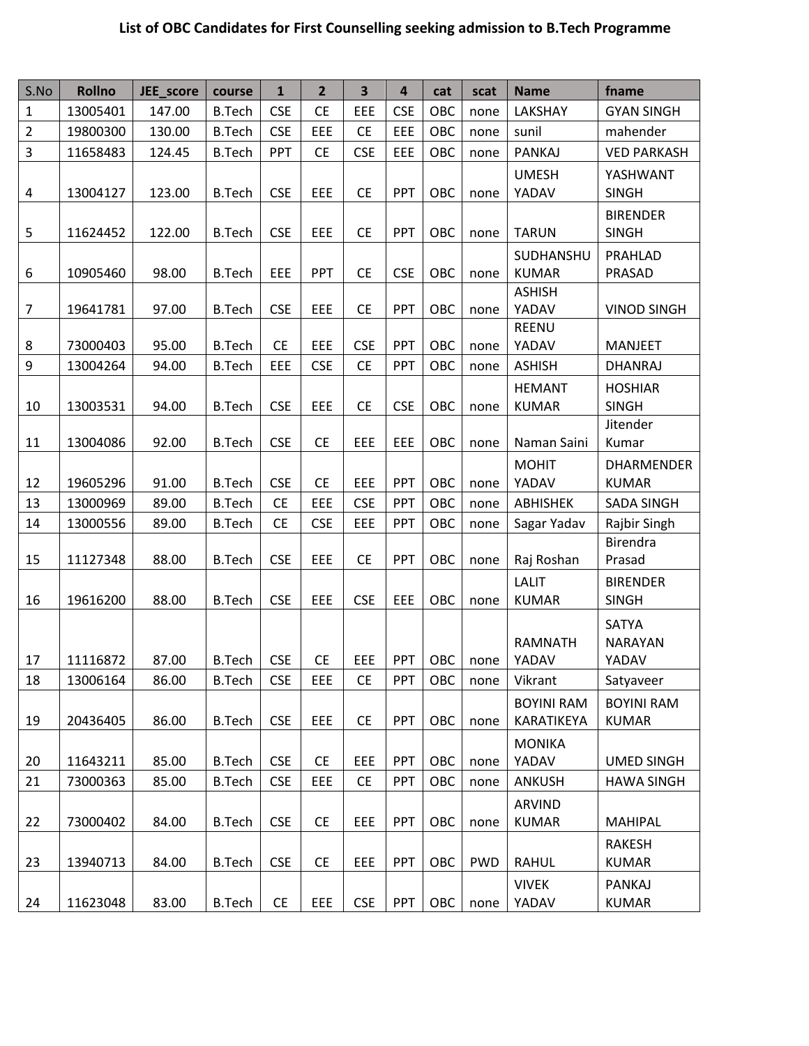## **List of OBC Candidates for First Counselling seeking admission to B.Tech Programme**

| S.No           | <b>Rollno</b> | JEE_score | course        | $\mathbf{1}$ | $\overline{2}$ | $\overline{\mathbf{3}}$ | $\overline{a}$ | cat | scat       | <b>Name</b>                     | fname                             |
|----------------|---------------|-----------|---------------|--------------|----------------|-------------------------|----------------|-----|------------|---------------------------------|-----------------------------------|
| $\mathbf{1}$   | 13005401      | 147.00    | <b>B.Tech</b> | <b>CSE</b>   | <b>CE</b>      | EEE                     | <b>CSE</b>     | OBC | none       | LAKSHAY                         | <b>GYAN SINGH</b>                 |
| $\overline{2}$ | 19800300      | 130.00    | <b>B.Tech</b> | <b>CSE</b>   | EEE            | <b>CE</b>               | EEE            | OBC | none       | sunil                           | mahender                          |
| 3              | 11658483      | 124.45    | <b>B.Tech</b> | PPT          | <b>CE</b>      | <b>CSE</b>              | EEE            | OBC | none       | PANKAJ                          | <b>VED PARKASH</b>                |
| 4              | 13004127      | 123.00    | <b>B.Tech</b> | <b>CSE</b>   | EEE            | <b>CE</b>               | PPT            | OBC | none       | <b>UMESH</b><br>YADAV           | YASHWANT<br><b>SINGH</b>          |
|                |               |           |               |              |                |                         |                |     |            |                                 | <b>BIRENDER</b>                   |
| 5              | 11624452      | 122.00    | <b>B.Tech</b> | <b>CSE</b>   | EEE            | <b>CE</b>               | PPT            | OBC | none       | <b>TARUN</b>                    | <b>SINGH</b>                      |
| 6              | 10905460      | 98.00     | <b>B.Tech</b> | EEE          | PPT            | <b>CE</b>               | <b>CSE</b>     | OBC | none       | SUDHANSHU<br><b>KUMAR</b>       | PRAHLAD<br>PRASAD                 |
|                |               |           |               |              |                |                         |                |     |            | <b>ASHISH</b>                   |                                   |
| $\overline{7}$ | 19641781      | 97.00     | <b>B.Tech</b> | <b>CSE</b>   | EEE            | <b>CE</b>               | PPT            | OBC | none       | YADAV                           | <b>VINOD SINGH</b>                |
|                |               |           |               |              |                |                         |                |     |            | REENU                           |                                   |
| 8              | 73000403      | 95.00     | <b>B.Tech</b> | <b>CE</b>    | EEE            | <b>CSE</b>              | PPT            | OBC | none       | YADAV                           | <b>MANJEET</b>                    |
| 9              | 13004264      | 94.00     | <b>B.Tech</b> | EEE          | <b>CSE</b>     | <b>CE</b>               | PPT            | OBC | none       | <b>ASHISH</b>                   | <b>DHANRAJ</b>                    |
| 10             | 13003531      | 94.00     | <b>B.Tech</b> | <b>CSE</b>   | EEE            | <b>CE</b>               | <b>CSE</b>     | OBC | none       | <b>HEMANT</b><br><b>KUMAR</b>   | <b>HOSHIAR</b><br><b>SINGH</b>    |
|                |               |           |               |              |                |                         |                |     |            |                                 | Jitender                          |
| 11             | 13004086      | 92.00     | <b>B.Tech</b> | <b>CSE</b>   | <b>CE</b>      | EEE                     | EEE            | OBC | none       | Naman Saini                     | Kumar                             |
| 12             | 19605296      | 91.00     | <b>B.Tech</b> | <b>CSE</b>   | <b>CE</b>      | EEE                     | PPT            | OBC | none       | <b>MOHIT</b><br>YADAV           | <b>DHARMENDER</b><br><b>KUMAR</b> |
| 13             | 13000969      | 89.00     | <b>B.Tech</b> | <b>CE</b>    | EEE            | <b>CSE</b>              | PPT            | OBC | none       | <b>ABHISHEK</b>                 | SADA SINGH                        |
| 14             | 13000556      | 89.00     | <b>B.Tech</b> | <b>CE</b>    | <b>CSE</b>     | EEE                     | PPT            | OBC | none       | Sagar Yadav                     | Rajbir Singh                      |
| 15             | 11127348      | 88.00     | <b>B.Tech</b> | <b>CSE</b>   | EEE            | <b>CE</b>               | PPT            | OBC | none       | Raj Roshan                      | Birendra<br>Prasad                |
|                |               |           |               |              |                |                         |                |     |            | <b>LALIT</b>                    | <b>BIRENDER</b>                   |
| 16             | 19616200      | 88.00     | <b>B.Tech</b> | <b>CSE</b>   | EEE            | <b>CSE</b>              | EEE            | OBC | none       | <b>KUMAR</b>                    | <b>SINGH</b>                      |
|                |               |           |               |              |                |                         |                |     |            |                                 | SATYA                             |
|                |               |           |               |              |                |                         |                |     |            | <b>RAMNATH</b>                  | <b>NARAYAN</b>                    |
| 17             | 11116872      | 87.00     | <b>B.Tech</b> | <b>CSE</b>   | <b>CE</b>      | <b>EEE</b>              | PPT            | OBC | none       | YADAV                           | YADAV                             |
| 18             | 13006164      | 86.00     | <b>B.Tech</b> | <b>CSE</b>   | <b>EEE</b>     | <b>CE</b>               | PPT            | OBC | none       | Vikrant                         | Satyaveer                         |
| 19             | 20436405      | 86.00     | <b>B.Tech</b> | <b>CSE</b>   | <b>EEE</b>     | <b>CE</b>               | PPT            | OBC | none       | <b>BOYINI RAM</b><br>KARATIKEYA | <b>BOYINI RAM</b><br><b>KUMAR</b> |
| 20             | 11643211      | 85.00     | <b>B.Tech</b> | <b>CSE</b>   | <b>CE</b>      | EEE                     | PPT            | OBC | none       | <b>MONIKA</b><br>YADAV          | <b>UMED SINGH</b>                 |
| 21             | 73000363      | 85.00     | <b>B.Tech</b> | <b>CSE</b>   | <b>EEE</b>     | <b>CE</b>               | PPT            | OBC | none       | <b>ANKUSH</b>                   | <b>HAWA SINGH</b>                 |
|                |               |           |               |              |                |                         |                |     |            |                                 |                                   |
| 22             | 73000402      | 84.00     | <b>B.Tech</b> | <b>CSE</b>   | <b>CE</b>      | EEE                     | PPT            | OBC | none       | ARVIND<br><b>KUMAR</b>          | <b>MAHIPAL</b>                    |
|                |               |           |               |              |                |                         |                |     |            |                                 | <b>RAKESH</b>                     |
| 23             | 13940713      | 84.00     | <b>B.Tech</b> | <b>CSE</b>   | <b>CE</b>      | <b>EEE</b>              | PPT            | OBC | <b>PWD</b> | <b>RAHUL</b>                    | <b>KUMAR</b>                      |
| 24             | 11623048      | 83.00     | <b>B.Tech</b> | <b>CE</b>    | <b>EEE</b>     | <b>CSE</b>              | <b>PPT</b>     | OBC | none       | <b>VIVEK</b><br>YADAV           | PANKAJ<br><b>KUMAR</b>            |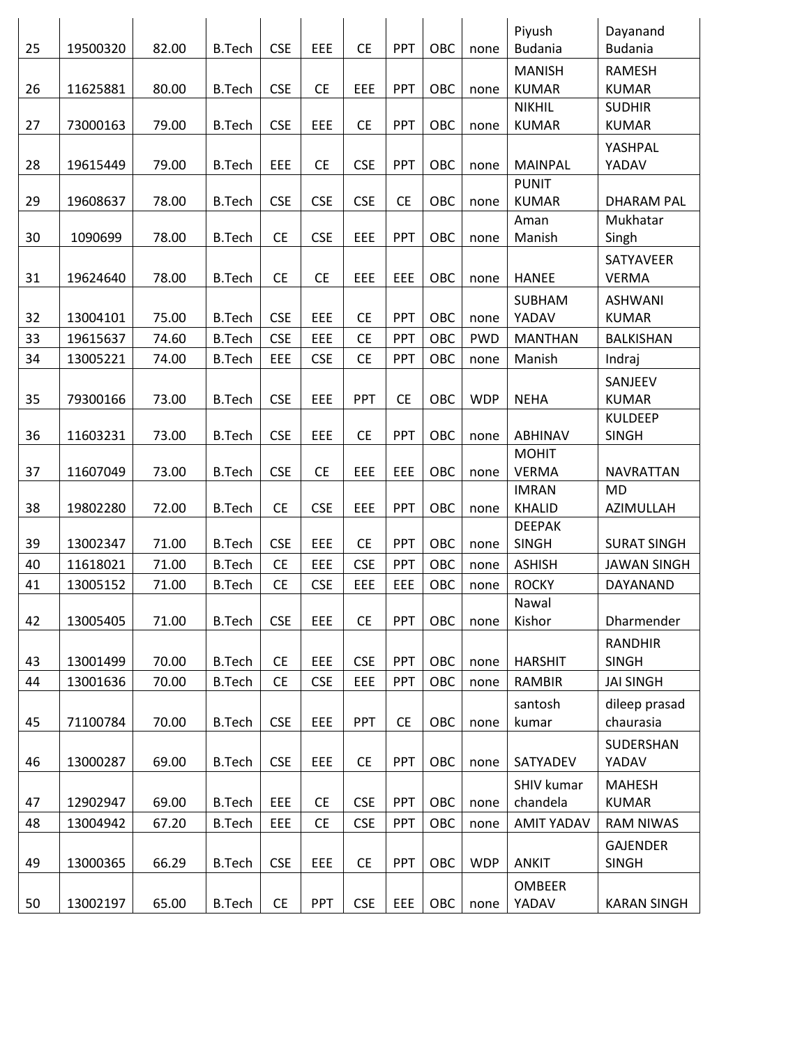|    |          |       |               |            |            |            |            |     |            | Piyush            | Dayanand           |
|----|----------|-------|---------------|------------|------------|------------|------------|-----|------------|-------------------|--------------------|
| 25 | 19500320 | 82.00 | <b>B.Tech</b> | <b>CSE</b> | EEE        | <b>CE</b>  | PPT        | OBC | none       | <b>Budania</b>    | <b>Budania</b>     |
|    |          |       |               |            |            |            |            |     |            | <b>MANISH</b>     | <b>RAMESH</b>      |
| 26 | 11625881 | 80.00 | <b>B.Tech</b> | <b>CSE</b> | <b>CE</b>  | EEE        | PPT        | OBC | none       | <b>KUMAR</b>      | <b>KUMAR</b>       |
|    |          |       |               |            |            |            |            |     |            | <b>NIKHIL</b>     | <b>SUDHIR</b>      |
| 27 | 73000163 | 79.00 | <b>B.Tech</b> | <b>CSE</b> | EEE        | <b>CE</b>  | PPT        | OBC | none       | <b>KUMAR</b>      | <b>KUMAR</b>       |
|    |          |       |               |            |            |            |            |     |            |                   | YASHPAL            |
| 28 | 19615449 | 79.00 | <b>B.Tech</b> | EEE        | <b>CE</b>  | <b>CSE</b> | PPT        | OBC | none       | <b>MAINPAL</b>    | YADAV              |
|    |          |       |               |            |            |            |            |     |            | <b>PUNIT</b>      |                    |
| 29 | 19608637 | 78.00 | <b>B.Tech</b> | <b>CSE</b> | <b>CSE</b> | <b>CSE</b> | <b>CE</b>  | OBC | none       | <b>KUMAR</b>      | <b>DHARAM PAL</b>  |
|    |          |       |               |            |            |            |            |     |            | Aman              | Mukhatar           |
| 30 | 1090699  | 78.00 | <b>B.Tech</b> | <b>CE</b>  | <b>CSE</b> | EEE        | PPT        | OBC | none       | Manish            | Singh              |
|    |          |       |               |            |            |            |            |     |            |                   | SATYAVEER          |
| 31 | 19624640 | 78.00 | <b>B.Tech</b> | <b>CE</b>  | <b>CE</b>  | EEE        | EEE        | OBC | none       | <b>HANEE</b>      | <b>VERMA</b>       |
|    |          |       |               |            |            |            |            |     |            | SUBHAM            | <b>ASHWANI</b>     |
| 32 | 13004101 | 75.00 | <b>B.Tech</b> | <b>CSE</b> | EEE        | <b>CE</b>  | PPT        | OBC | none       | YADAV             | <b>KUMAR</b>       |
| 33 | 19615637 | 74.60 | <b>B.Tech</b> | <b>CSE</b> | EEE        | <b>CE</b>  | PPT        | OBC | <b>PWD</b> | <b>MANTHAN</b>    | BALKISHAN          |
| 34 | 13005221 | 74.00 | <b>B.Tech</b> | EEE        | <b>CSE</b> | <b>CE</b>  | PPT        | OBC | none       | Manish            | Indraj             |
|    |          |       |               |            |            |            |            |     |            |                   | SANJEEV            |
| 35 | 79300166 | 73.00 | <b>B.Tech</b> | <b>CSE</b> | EEE        | PPT        | <b>CE</b>  | OBC | <b>WDP</b> | <b>NEHA</b>       | <b>KUMAR</b>       |
|    |          |       |               |            |            |            |            |     |            |                   | <b>KULDEEP</b>     |
| 36 | 11603231 | 73.00 | <b>B.Tech</b> | <b>CSE</b> | EEE        | <b>CE</b>  | PPT        | OBC | none       | <b>ABHINAV</b>    | <b>SINGH</b>       |
|    |          |       |               |            |            |            |            |     |            | <b>MOHIT</b>      |                    |
| 37 | 11607049 | 73.00 | <b>B.Tech</b> | <b>CSE</b> | <b>CE</b>  | EEE        | EEE        | OBC | none       | <b>VERMA</b>      | NAVRATTAN          |
|    |          |       |               |            |            |            |            |     |            | <b>IMRAN</b>      | <b>MD</b>          |
| 38 | 19802280 | 72.00 | <b>B.Tech</b> | <b>CE</b>  | <b>CSE</b> | EEE        | PPT        | OBC | none       | <b>KHALID</b>     | AZIMULLAH          |
|    |          |       |               |            |            |            |            |     |            | <b>DEEPAK</b>     |                    |
| 39 | 13002347 | 71.00 | <b>B.Tech</b> | <b>CSE</b> | <b>EEE</b> | <b>CE</b>  | PPT        | OBC | none       | <b>SINGH</b>      | <b>SURAT SINGH</b> |
| 40 | 11618021 | 71.00 | <b>B.Tech</b> | <b>CE</b>  | EEE        | <b>CSE</b> | PPT        | OBC | none       | <b>ASHISH</b>     | <b>JAWAN SINGH</b> |
| 41 | 13005152 | 71.00 | <b>B.Tech</b> | <b>CE</b>  | <b>CSE</b> | EEE        | EEE        | OBC | none       | <b>ROCKY</b>      | DAYANAND           |
|    |          |       |               |            |            |            |            |     |            | Nawal             |                    |
| 42 | 13005405 | 71.00 | <b>B.Tech</b> | <b>CSE</b> | EEE        | <b>CE</b>  | PPT        | OBC | none       | Kishor            | Dharmender         |
|    |          |       |               |            |            |            |            |     |            |                   | <b>RANDHIR</b>     |
| 43 | 13001499 | 70.00 | <b>B.Tech</b> | <b>CE</b>  | EEE        | <b>CSE</b> | PPT        | OBC | none       | <b>HARSHIT</b>    | <b>SINGH</b>       |
| 44 | 13001636 | 70.00 | <b>B.Tech</b> | <b>CE</b>  | <b>CSE</b> | EEE        | <b>PPT</b> | OBC | none       | <b>RAMBIR</b>     | <b>JAI SINGH</b>   |
|    |          |       |               |            |            |            |            |     |            | santosh           | dileep prasad      |
| 45 | 71100784 | 70.00 | <b>B.Tech</b> | <b>CSE</b> | EEE        | PPT        | <b>CE</b>  | OBC | none       | kumar             | chaurasia          |
|    |          |       |               |            |            |            |            |     |            |                   | SUDERSHAN          |
| 46 | 13000287 | 69.00 | <b>B.Tech</b> | <b>CSE</b> | <b>EEE</b> | <b>CE</b>  | PPT        | OBC | none       | SATYADEV          | YADAV              |
|    |          |       |               |            |            |            |            |     |            | <b>SHIV kumar</b> | <b>MAHESH</b>      |
| 47 | 12902947 | 69.00 | <b>B.Tech</b> | EEE        | <b>CE</b>  | <b>CSE</b> | PPT        | OBC | none       | chandela          | <b>KUMAR</b>       |
| 48 | 13004942 | 67.20 | <b>B.Tech</b> | EEE        | <b>CE</b>  | <b>CSE</b> | PPT        | OBC | none       | <b>AMIT YADAV</b> | <b>RAM NIWAS</b>   |
|    |          |       |               |            |            |            |            |     |            |                   | <b>GAJENDER</b>    |
| 49 | 13000365 | 66.29 | <b>B.Tech</b> | <b>CSE</b> | EEE        | <b>CE</b>  | <b>PPT</b> | OBC | <b>WDP</b> | <b>ANKIT</b>      | <b>SINGH</b>       |
|    |          |       |               |            |            |            |            |     |            | <b>OMBEER</b>     |                    |
| 50 | 13002197 | 65.00 | <b>B.Tech</b> | <b>CE</b>  | PPT        | <b>CSE</b> | <b>EEE</b> | OBC | none       | YADAV             | <b>KARAN SINGH</b> |
|    |          |       |               |            |            |            |            |     |            |                   |                    |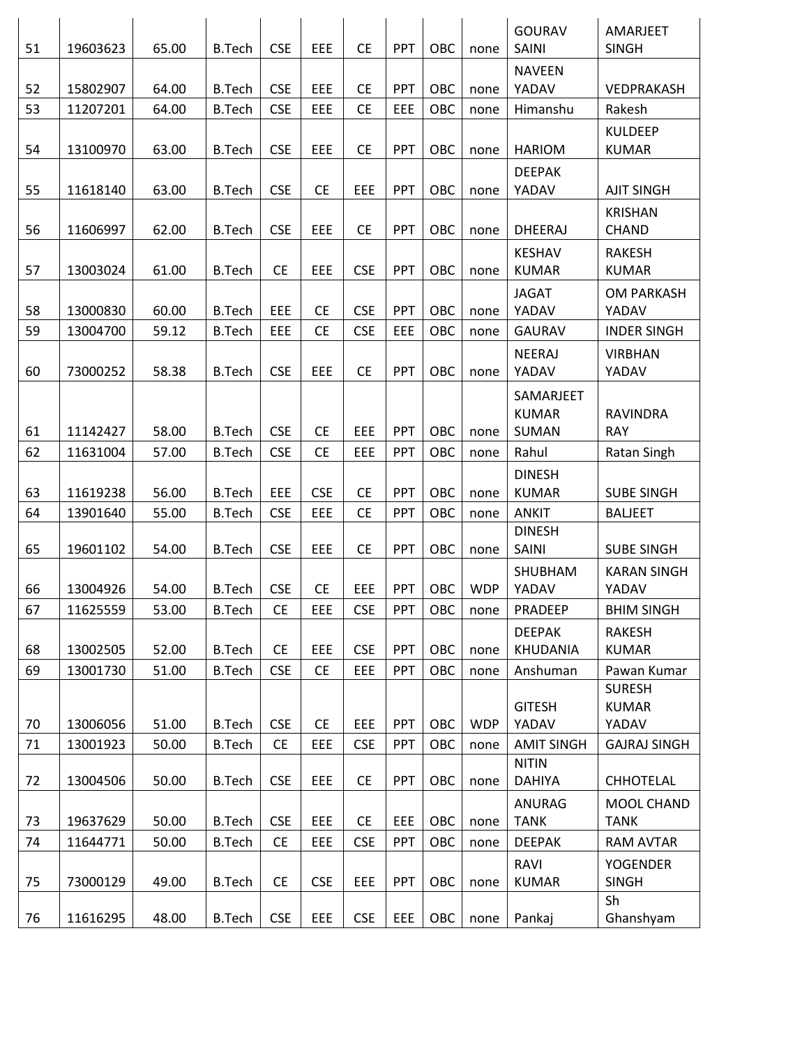|    |          |       |               |            |            |            |            |     |            | <b>GOURAV</b>     | AMARJEET            |
|----|----------|-------|---------------|------------|------------|------------|------------|-----|------------|-------------------|---------------------|
| 51 | 19603623 | 65.00 | <b>B.Tech</b> | <b>CSE</b> | EEE        | <b>CE</b>  | <b>PPT</b> | OBC | none       | SAINI             | <b>SINGH</b>        |
|    |          |       |               |            |            |            |            |     |            | <b>NAVEEN</b>     |                     |
| 52 | 15802907 | 64.00 | <b>B.Tech</b> | <b>CSE</b> | EEE        | <b>CE</b>  | <b>PPT</b> | OBC | none       | YADAV             | VEDPRAKASH          |
| 53 | 11207201 | 64.00 | <b>B.Tech</b> | <b>CSE</b> | <b>EEE</b> | <b>CE</b>  | EEE        | OBC | none       | Himanshu          | Rakesh              |
|    |          |       |               |            |            |            |            |     |            |                   | <b>KULDEEP</b>      |
| 54 | 13100970 | 63.00 | <b>B.Tech</b> | <b>CSE</b> | EEE        | <b>CE</b>  | PPT        | OBC | none       | <b>HARIOM</b>     | <b>KUMAR</b>        |
|    |          |       |               |            |            |            |            |     |            | <b>DEEPAK</b>     |                     |
| 55 | 11618140 | 63.00 | <b>B.Tech</b> | <b>CSE</b> | <b>CE</b>  | EEE        | PPT        | OBC | none       | YADAV             | <b>AJIT SINGH</b>   |
|    |          |       |               |            |            |            |            |     |            |                   | <b>KRISHAN</b>      |
| 56 | 11606997 | 62.00 | <b>B.Tech</b> | <b>CSE</b> | EEE        | <b>CE</b>  | <b>PPT</b> | OBC | none       | <b>DHEERAJ</b>    | CHAND               |
|    |          |       |               |            |            |            |            |     |            | <b>KESHAV</b>     | <b>RAKESH</b>       |
| 57 | 13003024 | 61.00 | <b>B.Tech</b> | <b>CE</b>  | EEE        | <b>CSE</b> | <b>PPT</b> | OBC | none       | <b>KUMAR</b>      | <b>KUMAR</b>        |
|    |          |       |               |            |            |            |            |     |            | <b>JAGAT</b>      | <b>OM PARKASH</b>   |
| 58 | 13000830 | 60.00 | <b>B.Tech</b> | EEE        | <b>CE</b>  | <b>CSE</b> | PPT        | OBC | none       | YADAV             | YADAV               |
| 59 | 13004700 | 59.12 | <b>B.Tech</b> | EEE        | <b>CE</b>  | <b>CSE</b> | EEE        | OBC | none       | GAURAV            | <b>INDER SINGH</b>  |
|    |          |       |               |            |            |            |            |     |            | NEERAJ            | <b>VIRBHAN</b>      |
| 60 | 73000252 | 58.38 | <b>B.Tech</b> | <b>CSE</b> | EEE        | <b>CE</b>  | <b>PPT</b> | OBC | none       | YADAV             | YADAV               |
|    |          |       |               |            |            |            |            |     |            | SAMARJEET         |                     |
|    |          |       |               |            |            |            |            |     |            | <b>KUMAR</b>      | <b>RAVINDRA</b>     |
| 61 | 11142427 | 58.00 | <b>B.Tech</b> | <b>CSE</b> | <b>CE</b>  | EEE        | <b>PPT</b> | OBC | none       | SUMAN             | <b>RAY</b>          |
| 62 | 11631004 | 57.00 | <b>B.Tech</b> | <b>CSE</b> | <b>CE</b>  | EEE        | PPT        | OBC | none       | Rahul             | Ratan Singh         |
|    |          |       |               |            |            |            |            |     |            | <b>DINESH</b>     |                     |
| 63 | 11619238 | 56.00 | <b>B.Tech</b> | EEE        | <b>CSE</b> | <b>CE</b>  | <b>PPT</b> | OBC | none       | <b>KUMAR</b>      | <b>SUBE SINGH</b>   |
| 64 | 13901640 | 55.00 | <b>B.Tech</b> | <b>CSE</b> | EEE        | <b>CE</b>  | PPT        | OBC | none       | <b>ANKIT</b>      | <b>BALJEET</b>      |
|    |          |       |               |            |            |            |            |     |            | <b>DINESH</b>     |                     |
| 65 | 19601102 | 54.00 | <b>B.Tech</b> | <b>CSE</b> | EEE        | <b>CE</b>  | <b>PPT</b> | OBC | none       | SAINI             | <b>SUBE SINGH</b>   |
|    |          |       |               |            |            |            |            |     |            | SHUBHAM           | <b>KARAN SINGH</b>  |
| 66 | 13004926 | 54.00 | <b>B.Tech</b> | <b>CSE</b> | <b>CE</b>  | EEE        | <b>PPT</b> | OBC | <b>WDP</b> | YADAV             | YADAV               |
| 67 | 11625559 | 53.00 | <b>B.Tech</b> | <b>CE</b>  | EEE        | <b>CSE</b> | <b>PPT</b> | OBC | none       | PRADEEP           | <b>BHIM SINGH</b>   |
|    |          |       |               |            |            |            |            |     |            | <b>DEEPAK</b>     | <b>RAKESH</b>       |
| 68 | 13002505 | 52.00 | <b>B.Tech</b> | <b>CE</b>  | EEE        | <b>CSE</b> | <b>PPT</b> | OBC | none       | KHUDANIA          | <b>KUMAR</b>        |
| 69 | 13001730 | 51.00 | <b>B.Tech</b> | <b>CSE</b> | <b>CE</b>  | EEE        | <b>PPT</b> | OBC | none       | Anshuman          | Pawan Kumar         |
|    |          |       |               |            |            |            |            |     |            |                   | <b>SURESH</b>       |
|    |          |       |               |            |            |            |            |     |            | <b>GITESH</b>     | <b>KUMAR</b>        |
| 70 | 13006056 | 51.00 | <b>B.Tech</b> | <b>CSE</b> | <b>CE</b>  | EEE        | <b>PPT</b> | OBC | <b>WDP</b> | YADAV             | YADAV               |
| 71 | 13001923 | 50.00 | <b>B.Tech</b> | <b>CE</b>  | EEE        | <b>CSE</b> | PPT        | OBC | none       | <b>AMIT SINGH</b> | <b>GAJRAJ SINGH</b> |
|    |          |       |               |            |            |            |            | OBC |            | <b>NITIN</b>      |                     |
| 72 | 13004506 | 50.00 | <b>B.Tech</b> | <b>CSE</b> | EEE        | <b>CE</b>  | PPT        |     | none       | <b>DAHIYA</b>     | <b>CHHOTELAL</b>    |
|    |          |       |               |            |            |            |            |     |            | ANURAG            | MOOL CHAND          |
| 73 | 19637629 | 50.00 | <b>B.Tech</b> | <b>CSE</b> | <b>EEE</b> | <b>CE</b>  | EEE        | OBC | none       | <b>TANK</b>       | <b>TANK</b>         |
| 74 | 11644771 | 50.00 | <b>B.Tech</b> | <b>CE</b>  | EEE        | <b>CSE</b> | <b>PPT</b> | OBC | none       | <b>DEEPAK</b>     | <b>RAM AVTAR</b>    |
|    |          |       |               |            |            |            |            |     |            | RAVI              | <b>YOGENDER</b>     |
| 75 | 73000129 | 49.00 | <b>B.Tech</b> | <b>CE</b>  | <b>CSE</b> | EEE        | <b>PPT</b> | OBC | none       | <b>KUMAR</b>      | <b>SINGH</b>        |
|    |          |       |               |            |            |            |            |     |            |                   | Sh                  |
| 76 | 11616295 | 48.00 | <b>B.Tech</b> | <b>CSE</b> | <b>EEE</b> | <b>CSE</b> | <b>EEE</b> | OBC | none       | Pankaj            | Ghanshyam           |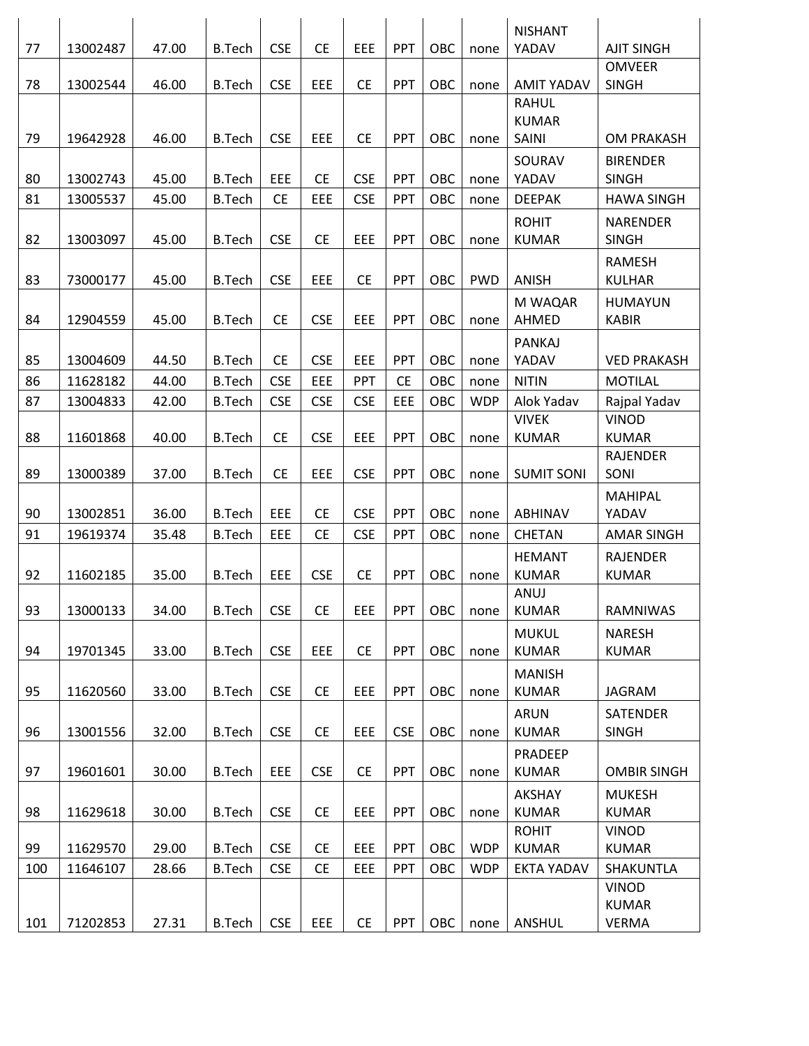|          |          |       |               |                  |            |                          |            |            |            | <b>NISHANT</b>               |                    |
|----------|----------|-------|---------------|------------------|------------|--------------------------|------------|------------|------------|------------------------------|--------------------|
| 77       | 13002487 | 47.00 | <b>B.Tech</b> | <b>CSE</b>       | <b>CE</b>  | EEE                      | <b>PPT</b> | OBC        | none       | YADAV                        | <b>AJIT SINGH</b>  |
|          |          |       |               |                  |            |                          |            |            |            |                              | <b>OMVEER</b>      |
| 78       | 13002544 | 46.00 | <b>B.Tech</b> | <b>CSE</b>       | EEE        | <b>CE</b>                | PPT        | OBC        | none       | <b>AMIT YADAV</b>            | <b>SINGH</b>       |
|          |          |       |               |                  |            |                          |            |            |            | <b>RAHUL</b><br><b>KUMAR</b> |                    |
| 79       | 19642928 | 46.00 | <b>B.Tech</b> | <b>CSE</b>       | EEE        | <b>CE</b>                | <b>PPT</b> | OBC        | none       | SAINI                        | <b>OM PRAKASH</b>  |
|          |          |       |               |                  |            |                          |            |            |            |                              |                    |
|          |          |       |               |                  |            |                          |            |            |            | SOURAV<br>YADAV              | <b>BIRENDER</b>    |
| 80<br>81 | 13002743 | 45.00 | <b>B.Tech</b> | EEE<br><b>CE</b> | <b>CE</b>  | <b>CSE</b><br><b>CSE</b> | PPT<br>PPT | OBC<br>OBC | none       |                              | <b>SINGH</b>       |
|          | 13005537 | 45.00 | <b>B.Tech</b> |                  | EEE        |                          |            |            | none       | <b>DEEPAK</b>                | <b>HAWA SINGH</b>  |
|          |          |       |               |                  |            |                          |            |            |            | <b>ROHIT</b>                 | <b>NARENDER</b>    |
| 82       | 13003097 | 45.00 | <b>B.Tech</b> | <b>CSE</b>       | <b>CE</b>  | EEE                      | <b>PPT</b> | OBC        | none       | <b>KUMAR</b>                 | <b>SINGH</b>       |
|          |          |       |               |                  |            |                          |            |            |            |                              | RAMESH             |
| 83       | 73000177 | 45.00 | <b>B.Tech</b> | <b>CSE</b>       | EEE        | <b>CE</b>                | <b>PPT</b> | OBC        | <b>PWD</b> | ANISH                        | <b>KULHAR</b>      |
|          |          |       |               |                  |            |                          |            |            |            | M WAQAR                      | <b>HUMAYUN</b>     |
| 84       | 12904559 | 45.00 | <b>B.Tech</b> | <b>CE</b>        | <b>CSE</b> | EEE                      | <b>PPT</b> | OBC        | none       | AHMED                        | <b>KABIR</b>       |
|          |          |       |               |                  |            |                          |            |            |            | PANKAJ                       |                    |
| 85       | 13004609 | 44.50 | <b>B.Tech</b> | <b>CE</b>        | <b>CSE</b> | EEE                      | <b>PPT</b> | OBC        | none       | YADAV                        | <b>VED PRAKASH</b> |
| 86       | 11628182 | 44.00 | <b>B.Tech</b> | <b>CSE</b>       | EEE        | PPT                      | <b>CE</b>  | OBC        | none       | <b>NITIN</b>                 | <b>MOTILAL</b>     |
| 87       | 13004833 | 42.00 | <b>B.Tech</b> | <b>CSE</b>       | <b>CSE</b> | <b>CSE</b>               | EEE        | OBC        | <b>WDP</b> | Alok Yadav                   | Rajpal Yadav       |
|          |          |       |               |                  |            |                          |            |            |            | <b>VIVEK</b>                 | <b>VINOD</b>       |
| 88       | 11601868 | 40.00 | <b>B.Tech</b> | <b>CE</b>        | <b>CSE</b> | EEE                      | PPT        | OBC        | none       | <b>KUMAR</b>                 | <b>KUMAR</b>       |
|          |          |       |               |                  |            |                          |            |            |            |                              | <b>RAJENDER</b>    |
| 89       | 13000389 | 37.00 | <b>B.Tech</b> | <b>CE</b>        | EEE        | <b>CSE</b>               | <b>PPT</b> | OBC        | none       | <b>SUMIT SONI</b>            | SONI               |
|          |          |       |               |                  |            |                          |            |            |            |                              | <b>MAHIPAL</b>     |
| 90       | 13002851 | 36.00 | <b>B.Tech</b> | EEE              | <b>CE</b>  | <b>CSE</b>               | <b>PPT</b> | OBC        | none       | ABHINAV                      | YADAV              |
| 91       | 19619374 | 35.48 | <b>B.Tech</b> | EEE              | <b>CE</b>  | <b>CSE</b>               | <b>PPT</b> | OBC        | none       | CHETAN                       | <b>AMAR SINGH</b>  |
|          |          |       |               |                  |            |                          |            |            |            | <b>HEMANT</b>                | <b>RAJENDER</b>    |
| 92       | 11602185 | 35.00 | <b>B.Tech</b> | EEE              | <b>CSE</b> | <b>CE</b>                | PPT        | OBC        | none       | <b>KUMAR</b>                 | <b>KUMAR</b>       |
|          |          |       |               |                  |            |                          |            |            |            | ANUJ                         |                    |
| 93       | 13000133 | 34.00 | <b>B.Tech</b> | <b>CSE</b>       | <b>CE</b>  | EEE                      | <b>PPT</b> | OBC        | none       | <b>KUMAR</b>                 | RAMNIWAS           |
|          |          |       |               |                  |            |                          |            |            |            | <b>MUKUL</b>                 | <b>NARESH</b>      |
| 94       | 19701345 | 33.00 | <b>B.Tech</b> | <b>CSE</b>       | EEE        | <b>CE</b>                | PPT        | OBC        | none       | <b>KUMAR</b>                 | <b>KUMAR</b>       |
|          |          |       |               |                  |            |                          |            |            |            | <b>MANISH</b>                |                    |
| 95       | 11620560 | 33.00 | <b>B.Tech</b> | <b>CSE</b>       | <b>CE</b>  | EEE                      | PPT        | OBC        | none       | <b>KUMAR</b>                 | <b>JAGRAM</b>      |
|          |          |       |               |                  |            |                          |            |            |            | <b>ARUN</b>                  | <b>SATENDER</b>    |
| 96       | 13001556 | 32.00 | <b>B.Tech</b> | <b>CSE</b>       | <b>CE</b>  | <b>EEE</b>               | <b>CSE</b> | OBC        | none       | <b>KUMAR</b>                 | <b>SINGH</b>       |
|          |          |       |               |                  |            |                          |            |            |            | PRADEEP                      |                    |
| 97       | 19601601 | 30.00 | <b>B.Tech</b> | EEE              | <b>CSE</b> | <b>CE</b>                | <b>PPT</b> | OBC        | none       | <b>KUMAR</b>                 | <b>OMBIR SINGH</b> |
|          |          |       |               |                  |            |                          |            |            |            | AKSHAY                       | <b>MUKESH</b>      |
| 98       | 11629618 | 30.00 | <b>B.Tech</b> | <b>CSE</b>       | <b>CE</b>  | <b>EEE</b>               | <b>PPT</b> | OBC        | none       | <b>KUMAR</b>                 | <b>KUMAR</b>       |
|          |          |       |               |                  |            |                          |            |            |            | <b>ROHIT</b>                 | VINOD              |
| 99       | 11629570 | 29.00 | <b>B.Tech</b> | <b>CSE</b>       | <b>CE</b>  | EEE                      | PPT        | OBC        | <b>WDP</b> | <b>KUMAR</b>                 | <b>KUMAR</b>       |
| 100      | 11646107 | 28.66 | <b>B.Tech</b> | <b>CSE</b>       | <b>CE</b>  | EEE                      | <b>PPT</b> | OBC        | <b>WDP</b> | <b>EKTA YADAV</b>            | <b>SHAKUNTLA</b>   |
|          |          |       |               |                  |            |                          |            |            |            |                              | <b>VINOD</b>       |
|          |          |       |               |                  |            |                          |            |            |            |                              | <b>KUMAR</b>       |
| 101      | 71202853 | 27.31 | <b>B.Tech</b> | <b>CSE</b>       | <b>EEE</b> | <b>CE</b>                | <b>PPT</b> | OBC        | none       | ANSHUL                       | VERMA              |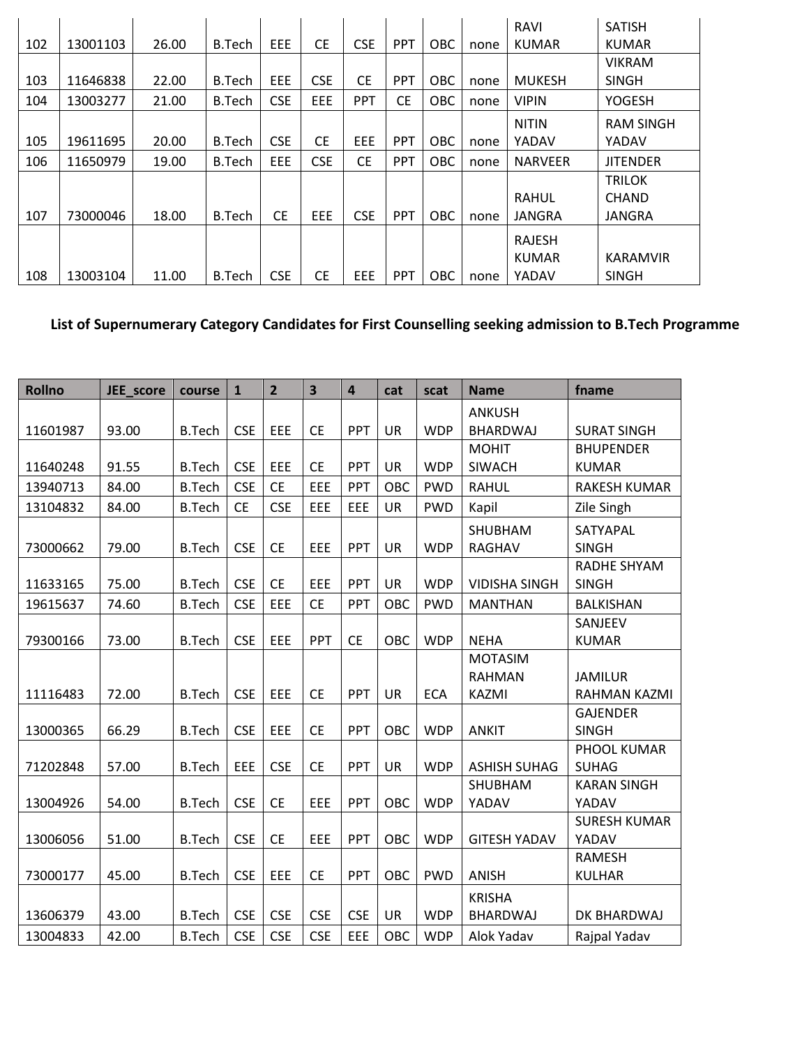|     |          |       |               |            |            |            |            |            |      | RAVI           | <b>SATISH</b>    |
|-----|----------|-------|---------------|------------|------------|------------|------------|------------|------|----------------|------------------|
| 102 | 13001103 | 26.00 | B.Tech        | EEE.       | <b>CE</b>  | <b>CSE</b> | <b>PPT</b> | OBC        | none | <b>KUMAR</b>   | <b>KUMAR</b>     |
|     |          |       |               |            |            |            |            |            |      |                | <b>VIKRAM</b>    |
| 103 | 11646838 | 22.00 | B.Tech        | <b>EEE</b> | <b>CSE</b> | <b>CE</b>  | <b>PPT</b> | <b>OBC</b> | none | <b>MUKESH</b>  | <b>SINGH</b>     |
| 104 | 13003277 | 21.00 | B.Tech        | <b>CSE</b> | EEE        | <b>PPT</b> | <b>CE</b>  | <b>OBC</b> | none | <b>VIPIN</b>   | <b>YOGESH</b>    |
|     |          |       |               |            |            |            |            |            |      | <b>NITIN</b>   | <b>RAM SINGH</b> |
| 105 | 19611695 | 20.00 | B.Tech        | <b>CSE</b> | <b>CE</b>  | EEE        | <b>PPT</b> | OBC        | none | YADAV          | YADAV            |
| 106 | 11650979 | 19.00 | B.Tech        | EEE        | <b>CSE</b> | <b>CE</b>  | <b>PPT</b> | <b>OBC</b> | none | <b>NARVEER</b> | <b>JITENDER</b>  |
|     |          |       |               |            |            |            |            |            |      |                | <b>TRILOK</b>    |
|     |          |       |               |            |            |            |            |            |      | <b>RAHUL</b>   | <b>CHAND</b>     |
| 107 | 73000046 | 18.00 | <b>B.Tech</b> | <b>CE</b>  | <b>EEE</b> | <b>CSE</b> | <b>PPT</b> | <b>OBC</b> | none | JANGRA         | <b>JANGRA</b>    |
|     |          |       |               |            |            |            |            |            |      | <b>RAJESH</b>  |                  |
|     |          |       |               |            |            |            |            |            |      | <b>KUMAR</b>   | <b>KARAMVIR</b>  |
| 108 | 13003104 | 11.00 | B.Tech        | <b>CSE</b> | <b>CE</b>  | EEE        | <b>PPT</b> | OBC        | none | YADAV          | <b>SINGH</b>     |

## **List of Supernumerary Category Candidates for First Counselling seeking admission to B.Tech Programme**

| <b>Rollno</b> | JEE_score | course        | $\mathbf{1}$ | $\overline{2}$ | 3          | $\overline{\mathbf{4}}$ | cat       | scat       | <b>Name</b>          | fname               |
|---------------|-----------|---------------|--------------|----------------|------------|-------------------------|-----------|------------|----------------------|---------------------|
|               |           |               |              |                |            |                         |           |            | <b>ANKUSH</b>        |                     |
| 11601987      | 93.00     | <b>B.Tech</b> | <b>CSE</b>   | EEE            | <b>CE</b>  | PPT                     | <b>UR</b> | <b>WDP</b> | <b>BHARDWAJ</b>      | <b>SURAT SINGH</b>  |
|               |           |               |              |                |            |                         |           |            | <b>MOHIT</b>         | <b>BHUPENDER</b>    |
| 11640248      | 91.55     | <b>B.Tech</b> | <b>CSE</b>   | EEE            | <b>CE</b>  | <b>PPT</b>              | UR        | <b>WDP</b> | <b>SIWACH</b>        | <b>KUMAR</b>        |
| 13940713      | 84.00     | <b>B.Tech</b> | <b>CSE</b>   | <b>CE</b>      | EEE        | PPT                     | OBC       | <b>PWD</b> | <b>RAHUL</b>         | <b>RAKESH KUMAR</b> |
| 13104832      | 84.00     | <b>B.Tech</b> | <b>CE</b>    | <b>CSE</b>     | EEE        | EEE                     | <b>UR</b> | <b>PWD</b> | Kapil                | Zile Singh          |
|               |           |               |              |                |            |                         |           |            | SHUBHAM              | SATYAPAL            |
| 73000662      | 79.00     | <b>B.Tech</b> | <b>CSE</b>   | <b>CE</b>      | EEE        | PPT                     | UR        | <b>WDP</b> | RAGHAV               | <b>SINGH</b>        |
|               |           |               |              |                |            |                         |           |            |                      | RADHE SHYAM         |
| 11633165      | 75.00     | <b>B.Tech</b> | <b>CSE</b>   | <b>CE</b>      | EEE        | <b>PPT</b>              | <b>UR</b> | <b>WDP</b> | <b>VIDISHA SINGH</b> | <b>SINGH</b>        |
| 19615637      | 74.60     | <b>B.Tech</b> | <b>CSE</b>   | EEE            | <b>CE</b>  | PPT                     | OBC       | <b>PWD</b> | <b>MANTHAN</b>       | <b>BALKISHAN</b>    |
|               |           |               |              |                |            |                         |           |            |                      | SANJEEV             |
| 79300166      | 73.00     | <b>B.Tech</b> | <b>CSE</b>   | EEE            | PPT        | <b>CE</b>               | OBC       | <b>WDP</b> | <b>NEHA</b>          | <b>KUMAR</b>        |
|               |           |               |              |                |            |                         |           |            | <b>MOTASIM</b>       |                     |
|               |           |               |              |                |            |                         |           |            | <b>RAHMAN</b>        | <b>JAMILUR</b>      |
| 11116483      | 72.00     | <b>B.Tech</b> | <b>CSE</b>   | EEE            | <b>CE</b>  | PPT                     | <b>UR</b> | <b>ECA</b> | KAZMI                | RAHMAN KAZMI        |
|               |           |               |              |                |            |                         |           |            |                      | <b>GAJENDER</b>     |
| 13000365      | 66.29     | <b>B.Tech</b> | <b>CSE</b>   | EEE            | <b>CE</b>  | PPT                     | OBC       | <b>WDP</b> | <b>ANKIT</b>         | <b>SINGH</b>        |
|               |           |               |              |                |            |                         |           |            |                      | PHOOL KUMAR         |
| 71202848      | 57.00     | <b>B.Tech</b> | EEE          | <b>CSE</b>     | <b>CE</b>  | PPT                     | <b>UR</b> | <b>WDP</b> | <b>ASHISH SUHAG</b>  | <b>SUHAG</b>        |
|               |           |               |              |                |            |                         |           |            | SHUBHAM              | <b>KARAN SINGH</b>  |
| 13004926      | 54.00     | <b>B.Tech</b> | <b>CSE</b>   | <b>CE</b>      | EEE        | <b>PPT</b>              | OBC       | <b>WDP</b> | YADAV                | YADAV               |
|               |           |               |              |                |            |                         |           |            |                      | <b>SURESH KUMAR</b> |
| 13006056      | 51.00     | <b>B.Tech</b> | <b>CSE</b>   | <b>CE</b>      | EEE        | PPT                     | OBC       | <b>WDP</b> | <b>GITESH YADAV</b>  | YADAV               |
|               |           |               |              |                |            |                         |           |            |                      | <b>RAMESH</b>       |
| 73000177      | 45.00     | <b>B.Tech</b> | <b>CSE</b>   | EEE            | <b>CE</b>  | PPT                     | OBC       | <b>PWD</b> | <b>ANISH</b>         | <b>KULHAR</b>       |
|               |           |               |              |                |            |                         |           |            | <b>KRISHA</b>        |                     |
| 13606379      | 43.00     | <b>B.Tech</b> | <b>CSE</b>   | <b>CSE</b>     | <b>CSE</b> | <b>CSE</b>              | UR        | <b>WDP</b> | <b>BHARDWAJ</b>      | DK BHARDWAJ         |
| 13004833      | 42.00     | <b>B.Tech</b> | <b>CSE</b>   | <b>CSE</b>     | <b>CSE</b> | EEE                     | OBC       | <b>WDP</b> | Alok Yadav           | Rajpal Yadav        |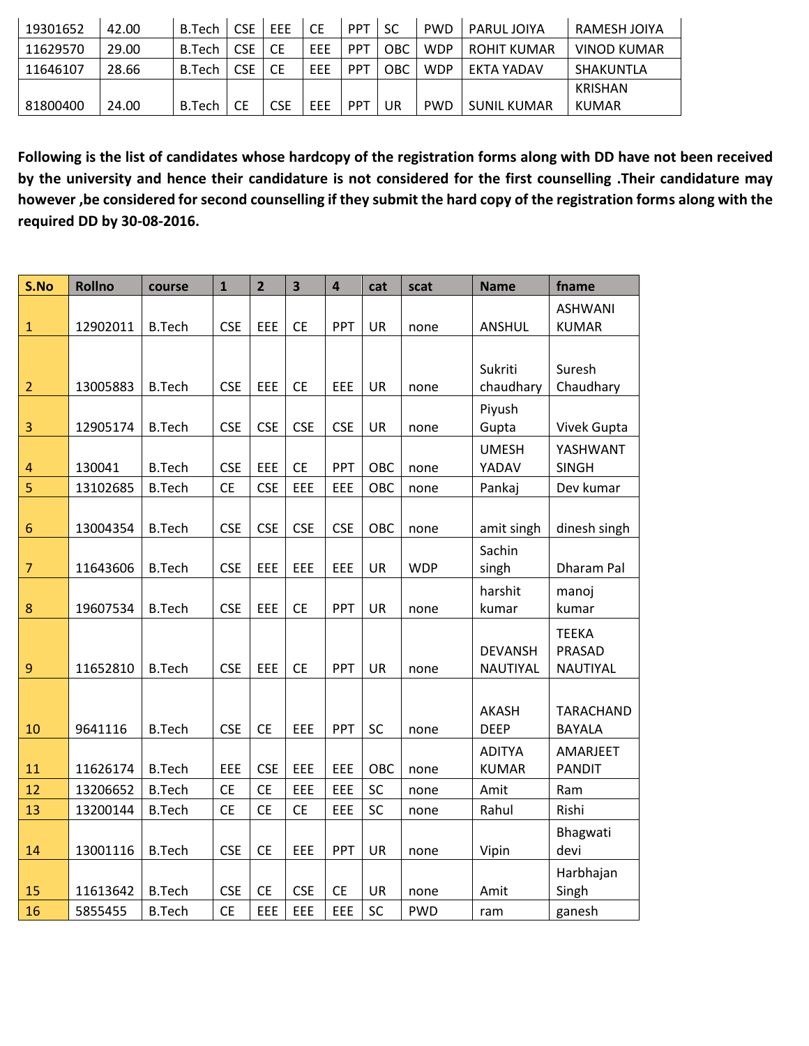| 19301652 | 42.00 | <b>B.Tech</b> | CSE | EEE | СE  | <b>PPT</b> | SC  | <b>PWD</b> | <b>PARUL JOIYA</b> | RAMESH JOIYA       |
|----------|-------|---------------|-----|-----|-----|------------|-----|------------|--------------------|--------------------|
| 11629570 | 29.00 | B.Tech        | CSE | СE  | EEE | <b>PPT</b> | OBC | <b>WDP</b> | ROHIT KUMAR        | <b>VINOD KUMAR</b> |
| 11646107 | 28.66 | <b>B.Tech</b> | CSE | CE  | EEE | PPT        | OBC | <b>WDP</b> | EKTA YADAV         | SHAKUNTLA          |
|          |       |               |     |     |     |            |     |            |                    | KRISHAN            |
| 81800400 | 24.00 | <b>B.Tech</b> |     | CSE | EEE | PPT        | UR  | <b>PWD</b> | <b>SUNIL KUMAR</b> | KUMAR              |

**Following is the list of candidates whose hardcopy of the registration forms along with DD have not been received by the university and hence their candidature is not considered for the first counselling .Their candidature may however ,be considered for second counselling if they submit the hard copy of the registration forms along with the required DD by 30-08-2016.**

| S.No             | <b>Rollno</b> | course        | $\mathbf{1}$ | $\overline{2}$ | $\overline{\mathbf{3}}$ | $\overline{\mathbf{4}}$ | cat       | scat       | <b>Name</b>    | fname            |
|------------------|---------------|---------------|--------------|----------------|-------------------------|-------------------------|-----------|------------|----------------|------------------|
|                  |               |               |              |                |                         |                         |           |            |                | <b>ASHWANI</b>   |
| $\mathbf{1}$     | 12902011      | <b>B.Tech</b> | <b>CSE</b>   | EEE            | <b>CE</b>               | PPT                     | UR        | none       | <b>ANSHUL</b>  | <b>KUMAR</b>     |
|                  |               |               |              |                |                         |                         |           |            |                |                  |
|                  |               |               |              |                |                         |                         |           |            | Sukriti        | Suresh           |
| $\overline{2}$   | 13005883      | <b>B.Tech</b> | <b>CSE</b>   | EEE            | <b>CE</b>               | EEE                     | <b>UR</b> | none       | chaudhary      | Chaudhary        |
|                  |               |               |              |                |                         |                         |           |            | Piyush         |                  |
| $\overline{3}$   | 12905174      | <b>B.Tech</b> | <b>CSE</b>   | <b>CSE</b>     | <b>CSE</b>              | <b>CSE</b>              | <b>UR</b> | none       | Gupta          | Vivek Gupta      |
|                  |               |               |              |                |                         |                         |           |            | <b>UMESH</b>   | YASHWANT         |
| 4                | 130041        | <b>B.Tech</b> | <b>CSE</b>   | EEE            | <b>CE</b>               | PPT                     | OBC       | none       | YADAV          | <b>SINGH</b>     |
| 5                | 13102685      | <b>B.Tech</b> | <b>CE</b>    | <b>CSE</b>     | EEE                     | EEE                     | OBC       | none       | Pankaj         | Dev kumar        |
|                  |               |               |              |                |                         |                         |           |            |                |                  |
| $6\phantom{1}6$  | 13004354      | <b>B.Tech</b> | <b>CSE</b>   | <b>CSE</b>     | <b>CSE</b>              | <b>CSE</b>              | OBC       | none       | amit singh     | dinesh singh     |
|                  |               |               |              |                |                         |                         |           |            | Sachin         |                  |
| $\overline{7}$   | 11643606      | <b>B.Tech</b> | <b>CSE</b>   | EEE            | EEE                     | EEE                     | <b>UR</b> | <b>WDP</b> | singh          | Dharam Pal       |
|                  |               |               |              |                |                         |                         |           |            | harshit        | manoj            |
| 8                | 19607534      | <b>B.Tech</b> | <b>CSE</b>   | EEE            | <b>CE</b>               | PPT                     | <b>UR</b> | none       | kumar          | kumar            |
|                  |               |               |              |                |                         |                         |           |            |                | <b>TEEKA</b>     |
|                  |               |               |              |                |                         |                         |           |            | <b>DEVANSH</b> | PRASAD           |
| $\boldsymbol{9}$ | 11652810      | <b>B.Tech</b> | <b>CSE</b>   | EEE            | <b>CE</b>               | PPT                     | <b>UR</b> | none       | NAUTIYAL       | NAUTIYAL         |
|                  |               |               |              |                |                         |                         |           |            |                |                  |
|                  |               |               |              |                |                         |                         |           |            | <b>AKASH</b>   | <b>TARACHAND</b> |
| 10               | 9641116       | <b>B.Tech</b> | <b>CSE</b>   | <b>CE</b>      | EEE                     | PPT                     | SC        | none       | <b>DEEP</b>    | <b>BAYALA</b>    |
|                  |               |               |              |                |                         |                         |           |            | <b>ADITYA</b>  | AMARJEET         |
| 11               | 11626174      | <b>B.Tech</b> | EEE          | <b>CSE</b>     | EEE                     | EEE                     | OBC       | none       | <b>KUMAR</b>   | <b>PANDIT</b>    |
| 12               | 13206652      | <b>B.Tech</b> | <b>CE</b>    | <b>CE</b>      | EEE                     | EEE                     | SC        | none       | Amit           | Ram              |
| 13               | 13200144      | <b>B.Tech</b> | <b>CE</b>    | <b>CE</b>      | <b>CE</b>               | EEE                     | SC        | none       | Rahul          | Rishi            |
|                  |               |               |              |                |                         |                         |           |            |                | Bhagwati         |
| 14               | 13001116      | <b>B.Tech</b> | <b>CSE</b>   | <b>CE</b>      | EEE                     | PPT                     | UR        | none       | Vipin          | devi             |
|                  |               |               |              |                |                         |                         |           |            |                | Harbhajan        |
| 15               | 11613642      | <b>B.Tech</b> | <b>CSE</b>   | <b>CE</b>      | <b>CSE</b>              | <b>CE</b>               | UR        | none       | Amit           | Singh            |
| 16               | 5855455       | <b>B.Tech</b> | <b>CE</b>    | EEE            | EEE                     | EEE                     | SC        | <b>PWD</b> | ram            | ganesh           |